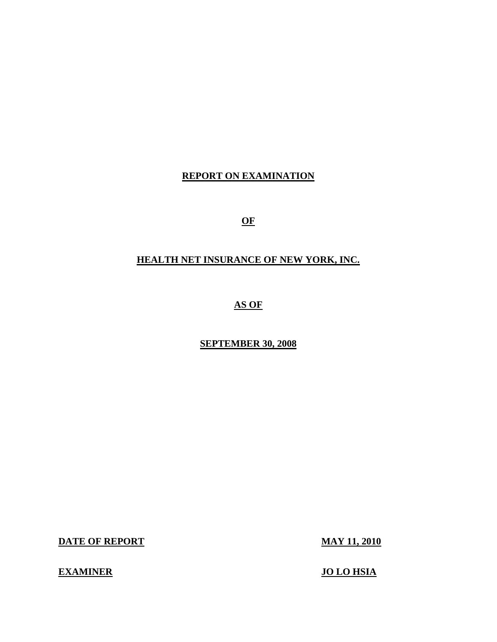# **REPORT ON EXAMINATION**

**OF** 

# **HEALTH NET INSURANCE OF NEW YORK, INC.**

**AS OF** 

**SEPTEMBER 30, 2008** 

**DATE OF REPORT MAY 11, 2010** 

**EXAMINER JO LO HSIA**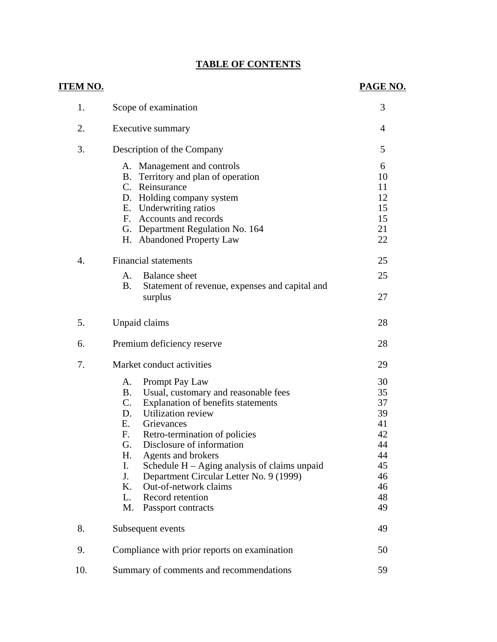# **TABLE OF CONTENTS**

| ITEM NO.         |                                                                                                                                                                                                                                                                                                                                                                                                                                                                                    | PAGE NO.                                                                   |
|------------------|------------------------------------------------------------------------------------------------------------------------------------------------------------------------------------------------------------------------------------------------------------------------------------------------------------------------------------------------------------------------------------------------------------------------------------------------------------------------------------|----------------------------------------------------------------------------|
| 1.               | Scope of examination                                                                                                                                                                                                                                                                                                                                                                                                                                                               | 3                                                                          |
| 2.               | Executive summary                                                                                                                                                                                                                                                                                                                                                                                                                                                                  | $\overline{4}$                                                             |
| 3.               | Description of the Company                                                                                                                                                                                                                                                                                                                                                                                                                                                         | 5                                                                          |
|                  | A. Management and controls<br>B. Territory and plan of operation<br>C. Reinsurance<br>D. Holding company system<br>E. Underwriting ratios<br>F. Accounts and records<br>G. Department Regulation No. 164<br>H. Abandoned Property Law                                                                                                                                                                                                                                              | 6<br>10<br>11<br>12<br>15<br>15<br>21<br>22                                |
| $\overline{4}$ . | <b>Financial statements</b>                                                                                                                                                                                                                                                                                                                                                                                                                                                        | 25                                                                         |
|                  | A.<br><b>Balance</b> sheet<br>B.<br>Statement of revenue, expenses and capital and                                                                                                                                                                                                                                                                                                                                                                                                 | 25                                                                         |
|                  | surplus                                                                                                                                                                                                                                                                                                                                                                                                                                                                            | 27                                                                         |
| 5.               | Unpaid claims                                                                                                                                                                                                                                                                                                                                                                                                                                                                      | 28                                                                         |
| 6.               | Premium deficiency reserve                                                                                                                                                                                                                                                                                                                                                                                                                                                         | 28                                                                         |
| 7.               | Market conduct activities                                                                                                                                                                                                                                                                                                                                                                                                                                                          | 29                                                                         |
|                  | Prompt Pay Law<br>А.<br><b>B.</b><br>Usual, customary and reasonable fees<br>$C_{\cdot}$<br>Explanation of benefits statements<br>Utilization review<br>D.<br>Е.<br>Grievances<br>F.<br>Retro-termination of policies<br>Disclosure of information<br>G.<br>H.<br>Agents and brokers<br>Schedule $H - Aging$ analysis of claims unpaid<br>I.<br>J.<br>Department Circular Letter No. 9 (1999)<br>Out-of-network claims<br>Κ.<br>L.<br>Record retention<br>M.<br>Passport contracts | 30<br>35<br>37<br>39<br>41<br>42<br>44<br>44<br>45<br>46<br>46<br>48<br>49 |
| 8.               | Subsequent events                                                                                                                                                                                                                                                                                                                                                                                                                                                                  | 49                                                                         |
| 9.               | Compliance with prior reports on examination                                                                                                                                                                                                                                                                                                                                                                                                                                       | 50                                                                         |
| 10.              | Summary of comments and recommendations                                                                                                                                                                                                                                                                                                                                                                                                                                            | 59                                                                         |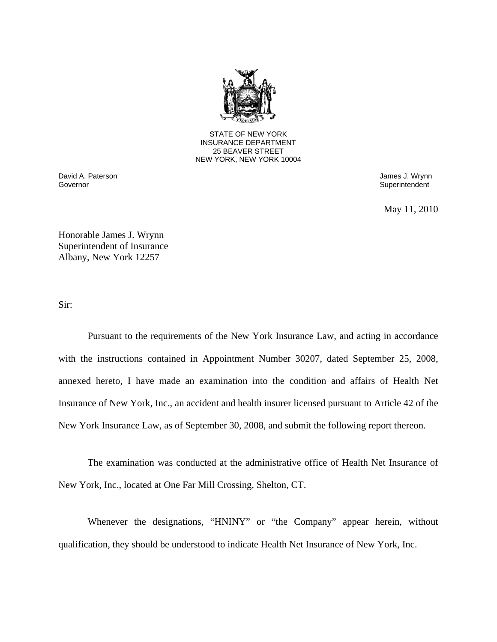

25 BEAVER STREET STATE OF NEW YORK INSURANCE DEPARTMENT NEW YORK, NEW YORK 10004

Governor David A. Paterson **David A. Paterson** James J. Wrynn

Superintendent

May 11, 2010

Honorable James J. Wrynn Superintendent of Insurance Albany, New York 12257

Sir:

Pursuant to the requirements of the New York Insurance Law, and acting in accordance with the instructions contained in Appointment Number 30207, dated September 25, 2008, annexed hereto, I have made an examination into the condition and affairs of Health Net Insurance of New York, Inc., an accident and health insurer licensed pursuant to Article 42 of the New York Insurance Law, as of September 30, 2008, and submit the following report thereon.

The examination was conducted at the administrative office of Health Net Insurance of New York, Inc., located at One Far Mill Crossing, Shelton, CT.

Whenever the designations, "HNINY" or "the Company" appear herein, without qualification, they should be understood to indicate Health Net Insurance of New York, Inc.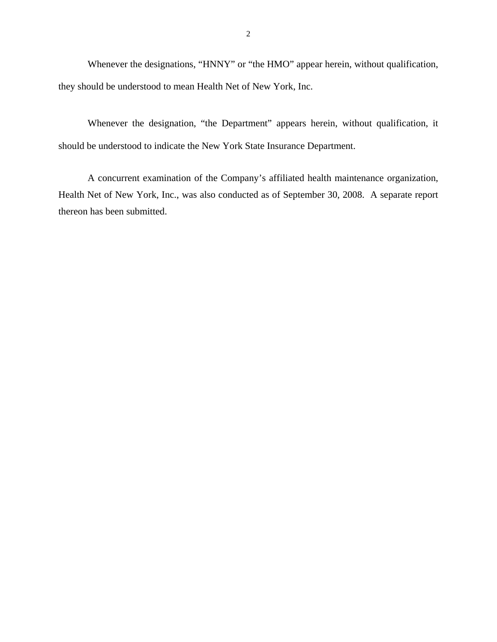Whenever the designations, "HNNY" or "the HMO" appear herein, without qualification, they should be understood to mean Health Net of New York, Inc.

Whenever the designation, "the Department" appears herein, without qualification, it should be understood to indicate the New York State Insurance Department.

A concurrent examination of the Company's affiliated health maintenance organization, Health Net of New York, Inc., was also conducted as of September 30, 2008. A separate report thereon has been submitted.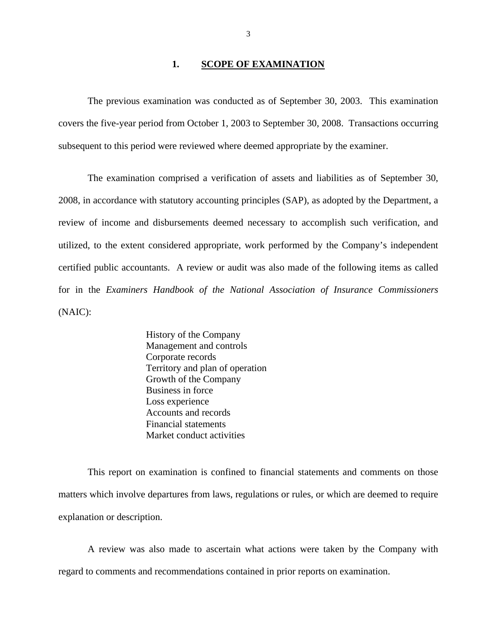#### **1. SCOPE OF EXAMINATION**

The previous examination was conducted as of September 30, 2003. This examination covers the five-year period from October 1, 2003 to September 30, 2008. Transactions occurring subsequent to this period were reviewed where deemed appropriate by the examiner.

The examination comprised a verification of assets and liabilities as of September 30, 2008, in accordance with statutory accounting principles (SAP), as adopted by the Department, a review of income and disbursements deemed necessary to accomplish such verification, and utilized, to the extent considered appropriate, work performed by the Company's independent certified public accountants. A review or audit was also made of the following items as called for in the *Examiners Handbook of the National Association of Insurance Commissioners*  (NAIC):

> History of the Company Management and controls Corporate records Territory and plan of operation Growth of the Company Business in force Loss experience Accounts and records Financial statements Market conduct activities

This report on examination is confined to financial statements and comments on those matters which involve departures from laws, regulations or rules, or which are deemed to require explanation or description.

A review was also made to ascertain what actions were taken by the Company with regard to comments and recommendations contained in prior reports on examination.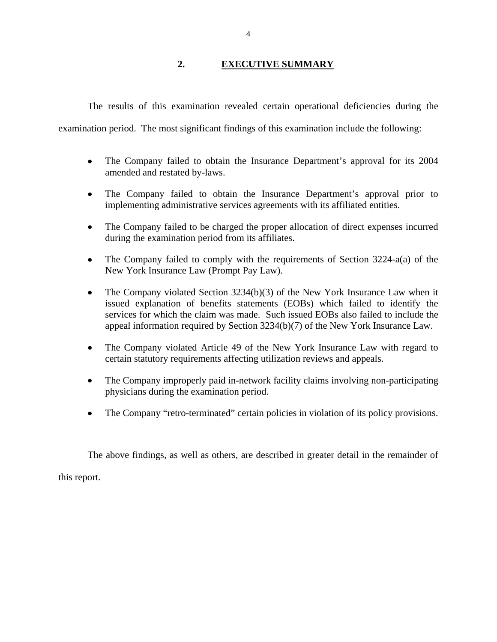### **2. EXECUTIVE SUMMARY**

<span id="page-5-0"></span>The results of this examination revealed certain operational deficiencies during the

examination period. The most significant findings of this examination include the following:

- The Company failed to obtain the Insurance Department's approval for its 2004 amended and restated by-laws.
- The Company failed to obtain the Insurance Department's approval prior to implementing administrative services agreements with its affiliated entities.
- The Company failed to be charged the proper allocation of direct expenses incurred during the examination period from its affiliates.
- The Company failed to comply with the requirements of Section 3224-a(a) of the New York Insurance Law (Prompt Pay Law).
- The Company violated Section 3234(b)(3) of the New York Insurance Law when it issued explanation of benefits statements (EOBs) which failed to identify the services for which the claim was made. Such issued EOBs also failed to include the appeal information required by Section 3234(b)(7) of the New York Insurance Law.
- The Company violated Article 49 of the New York Insurance Law with regard to certain statutory requirements affecting utilization reviews and appeals.
- The Company improperly paid in-network facility claims involving non-participating physicians during the examination period.
- The Company "retro-terminated" certain policies in violation of its policy provisions.

The above findings, as well as others, are described in greater detail in the remainder of

this report.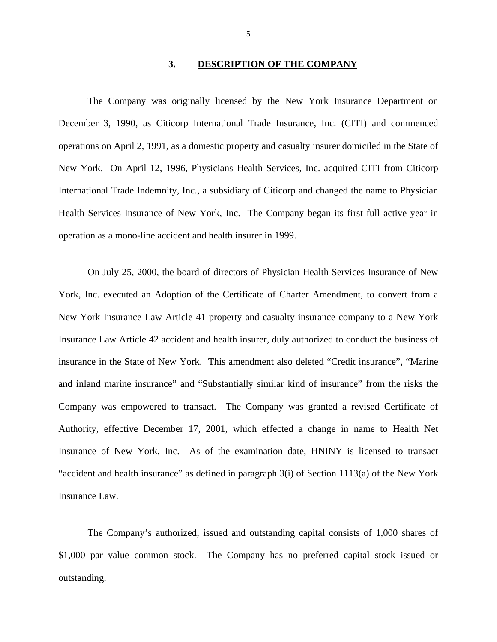#### **3. DESCRIPTION OF THE COMPANY**

The Company was originally licensed by the New York Insurance Department on December 3, 1990, as Citicorp International Trade Insurance, Inc. (CITI) and commenced operations on April 2, 1991, as a domestic property and casualty insurer domiciled in the State of New York. On April 12, 1996, Physicians Health Services, Inc. acquired CITI from Citicorp International Trade Indemnity, Inc., a subsidiary of Citicorp and changed the name to Physician Health Services Insurance of New York, Inc. The Company began its first full active year in operation as a mono-line accident and health insurer in 1999.

On July 25, 2000, the board of directors of Physician Health Services Insurance of New York, Inc. executed an Adoption of the Certificate of Charter Amendment, to convert from a New York Insurance Law Article 41 property and casualty insurance company to a New York Insurance Law Article 42 accident and health insurer, duly authorized to conduct the business of insurance in the State of New York. This amendment also deleted "Credit insurance", "Marine and inland marine insurance" and "Substantially similar kind of insurance" from the risks the Company was empowered to transact. The Company was granted a revised Certificate of Authority, effective December 17, 2001, which effected a change in name to Health Net Insurance of New York, Inc. As of the examination date, HNINY is licensed to transact "accident and health insurance" as defined in paragraph 3(i) of Section 1113(a) of the New York Insurance Law.

The Company's authorized, issued and outstanding capital consists of 1,000 shares of \$1,000 par value common stock. The Company has no preferred capital stock issued or outstanding.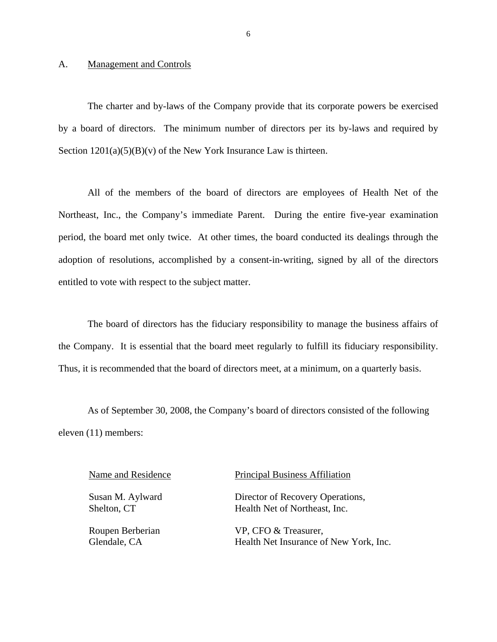#### <span id="page-7-0"></span>A. Management and Controls

The charter and by-laws of the Company provide that its corporate powers be exercised by a board of directors. The minimum number of directors per its by-laws and required by Section  $1201(a)(5)(B)(v)$  of the New York Insurance Law is thirteen.

All of the members of the board of directors are employees of Health Net of the Northeast, Inc., the Company's immediate Parent. During the entire five-year examination period, the board met only twice. At other times, the board conducted its dealings through the adoption of resolutions, accomplished by a consent-in-writing, signed by all of the directors entitled to vote with respect to the subject matter.

The board of directors has the fiduciary responsibility to manage the business affairs of the Company. It is essential that the board meet regularly to fulfill its fiduciary responsibility. Thus, it is recommended that the board of directors meet, at a minimum, on a quarterly basis.

As of September 30, 2008, the Company's board of directors consisted of the following eleven (11) members:

#### Name and Residence Principal Business Affiliation

Susan M. Aylward Director of Recovery Operations, Shelton, CT Health Net of Northeast, Inc.

Roupen Berberian VP, CFO & Treasurer, Glendale, CA Health Net Insurance of New York, Inc.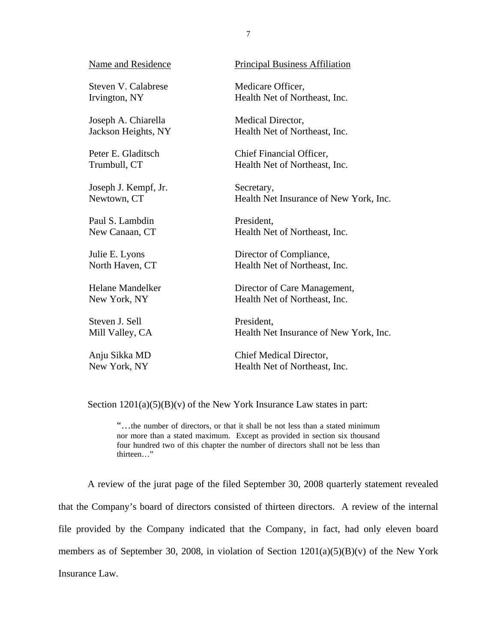| Name and Residence      | <b>Principal Business Affiliation</b>  |
|-------------------------|----------------------------------------|
| Steven V. Calabrese     | Medicare Officer,                      |
| Irvington, NY           | Health Net of Northeast, Inc.          |
| Joseph A. Chiarella     | Medical Director,                      |
| Jackson Heights, NY     | Health Net of Northeast, Inc.          |
| Peter E. Gladitsch      | Chief Financial Officer,               |
| Trumbull, CT            | Health Net of Northeast, Inc.          |
| Joseph J. Kempf, Jr.    | Secretary,                             |
| Newtown, CT             | Health Net Insurance of New York, Inc. |
| Paul S. Lambdin         | President,                             |
| New Canaan, CT          | Health Net of Northeast, Inc.          |
| Julie E. Lyons          | Director of Compliance,                |
| North Haven, CT         | Health Net of Northeast, Inc.          |
| <b>Helane Mandelker</b> | Director of Care Management,           |
| New York, NY            | Health Net of Northeast, Inc.          |
| Steven J. Sell          | President,                             |
| Mill Valley, CA         | Health Net Insurance of New York, Inc. |
| Anju Sikka MD           | Chief Medical Director,                |
| New York, NY            | Health Net of Northeast, Inc.          |

Section  $1201(a)(5)(B)(v)$  of the New York Insurance Law states in part:

 four hundred two of this chapter the number of directors shall not be less than "…the number of directors, or that it shall be not less than a stated minimum nor more than a stated maximum. Except as provided in section six thousand thirteen…"

A review of the jurat page of the filed September 30, 2008 quarterly statement revealed that the Company's board of directors consisted of thirteen directors. A review of the internal file provided by the Company indicated that the Company, in fact, had only eleven board members as of September 30, 2008, in violation of Section 1201(a)(5)(B)(v) of the New York Insurance Law.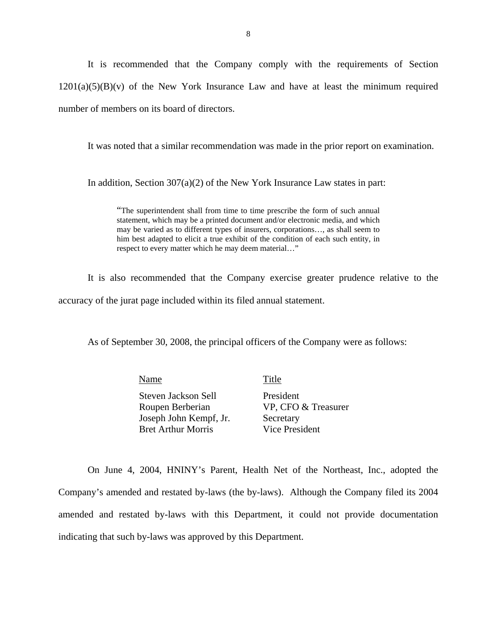It is recommended that the Company comply with the requirements of Section  $1201(a)(5)(B)(v)$  of the New York Insurance Law and have at least the minimum required number of members on its board of directors.

It was noted that a similar recommendation was made in the prior report on examination.

In addition, Section  $307(a)(2)$  of the New York Insurance Law states in part:

 may be varied as to different types of insurers, corporations…, as shall seem to "The superintendent shall from time to time prescribe the form of such annual statement, which may be a printed document and/or electronic media, and which him best adapted to elicit a true exhibit of the condition of each such entity, in respect to every matter which he may deem material…"

It is also recommended that the Company exercise greater prudence relative to the accuracy of the jurat page included within its filed annual statement.

As of September 30, 2008, the principal officers of the Company were as follows:

Name Title Steven Jackson Sell President Roupen Berberian VP, CFO & Treasurer Joseph John Kempf, Jr. Secretary Bret Arthur Morris Vice President

On June 4, 2004, HNINY's Parent, Health Net of the Northeast, Inc., adopted the Company's amended and restated by-laws (the by-laws). Although the Company filed its 2004 amended and restated by-laws with this Department, it could not provide documentation indicating that such by-laws was approved by this Department.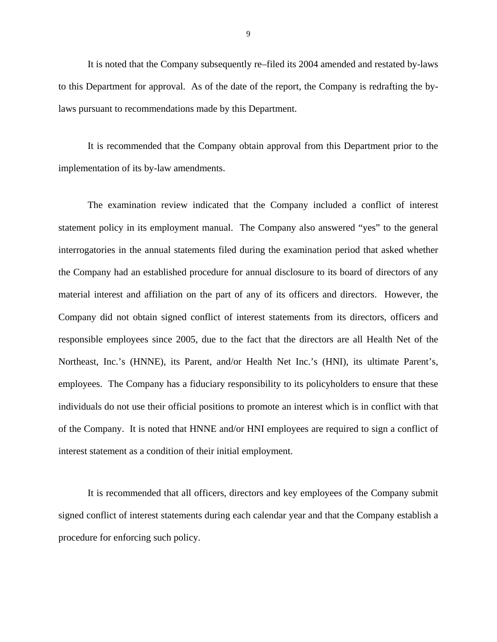It is noted that the Company subsequently re–filed its 2004 amended and restated by-laws to this Department for approval. As of the date of the report, the Company is redrafting the bylaws pursuant to recommendations made by this Department.

It is recommended that the Company obtain approval from this Department prior to the implementation of its by-law amendments.

The examination review indicated that the Company included a conflict of interest statement policy in its employment manual. The Company also answered "yes" to the general interrogatories in the annual statements filed during the examination period that asked whether the Company had an established procedure for annual disclosure to its board of directors of any material interest and affiliation on the part of any of its officers and directors. However, the Company did not obtain signed conflict of interest statements from its directors, officers and responsible employees since 2005, due to the fact that the directors are all Health Net of the Northeast, Inc.'s (HNNE), its Parent, and/or Health Net Inc.'s (HNI), its ultimate Parent's, employees. The Company has a fiduciary responsibility to its policyholders to ensure that these individuals do not use their official positions to promote an interest which is in conflict with that of the Company. It is noted that HNNE and/or HNI employees are required to sign a conflict of interest statement as a condition of their initial employment.

It is recommended that all officers, directors and key employees of the Company submit signed conflict of interest statements during each calendar year and that the Company establish a procedure for enforcing such policy.

9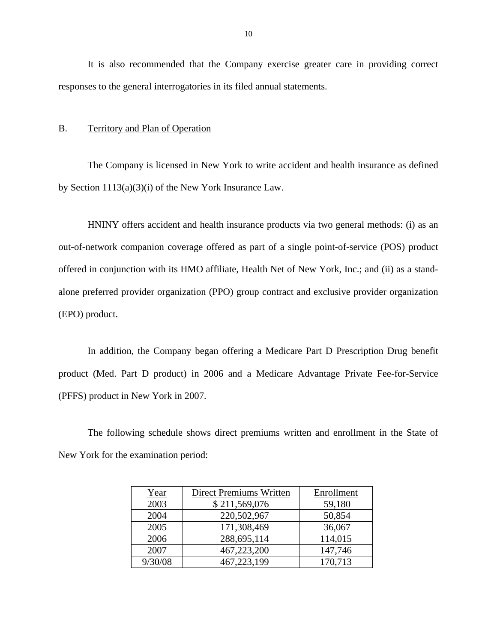It is also recommended that the Company exercise greater care in providing correct responses to the general interrogatories in its filed annual statements.

#### B. Territory and Plan of Operation

The Company is licensed in New York to write accident and health insurance as defined by Section 1113(a)(3)(i) of the New York Insurance Law.

HNINY offers accident and health insurance products via two general methods: (i) as an out-of-network companion coverage offered as part of a single point-of-service (POS) product offered in conjunction with its HMO affiliate, Health Net of New York, Inc.; and (ii) as a standalone preferred provider organization (PPO) group contract and exclusive provider organization (EPO) product.

In addition, the Company began offering a Medicare Part D Prescription Drug benefit product (Med. Part D product) in 2006 and a Medicare Advantage Private Fee-for-Service (PFFS) product in New York in 2007.

The following schedule shows direct premiums written and enrollment in the State of New York for the examination period:

| Year    | <b>Direct Premiums Written</b> | Enrollment |
|---------|--------------------------------|------------|
| 2003    | \$211,569,076                  | 59,180     |
| 2004    | 220,502,967                    | 50,854     |
| 2005    | 171,308,469                    | 36,067     |
| 2006    | 288,695,114                    | 114,015    |
| 2007    | 467,223,200                    | 147,746    |
| 9/30/08 | 467,223,199                    | 170,713    |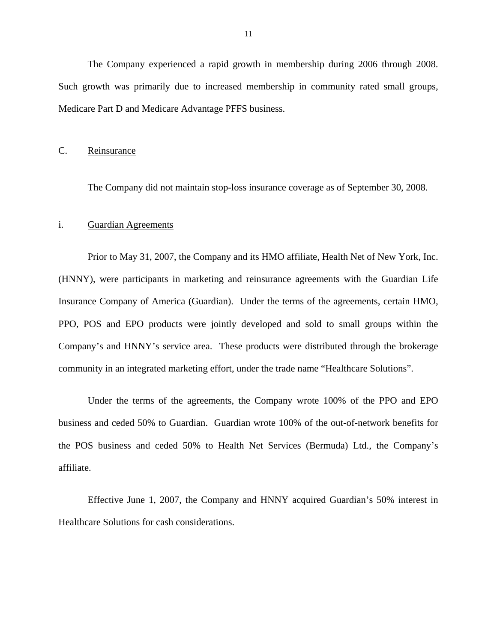<span id="page-12-0"></span>The Company experienced a rapid growth in membership during 2006 through 2008. Such growth was primarily due to increased membership in community rated small groups, Medicare Part D and Medicare Advantage PFFS business.

#### C. Reinsurance

The Company did not maintain stop-loss insurance coverage as of September 30, 2008.

#### i. Guardian Agreements

Prior to May 31, 2007, the Company and its HMO affiliate, Health Net of New York, Inc. (HNNY), were participants in marketing and reinsurance agreements with the Guardian Life Insurance Company of America (Guardian). Under the terms of the agreements, certain HMO, PPO, POS and EPO products were jointly developed and sold to small groups within the Company's and HNNY's service area. These products were distributed through the brokerage community in an integrated marketing effort, under the trade name "Healthcare Solutions".

Under the terms of the agreements, the Company wrote 100% of the PPO and EPO business and ceded 50% to Guardian. Guardian wrote 100% of the out-of-network benefits for the POS business and ceded 50% to Health Net Services (Bermuda) Ltd., the Company's affiliate.

Effective June 1, 2007, the Company and HNNY acquired Guardian's 50% interest in Healthcare Solutions for cash considerations.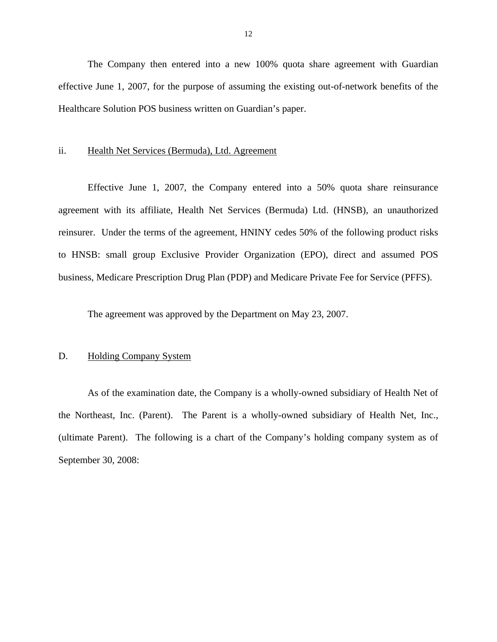<span id="page-13-0"></span>The Company then entered into a new 100% quota share agreement with Guardian effective June 1, 2007, for the purpose of assuming the existing out-of-network benefits of the Healthcare Solution POS business written on Guardian's paper.

#### ii. Health Net Services (Bermuda), Ltd. Agreement

Effective June 1, 2007, the Company entered into a 50% quota share reinsurance agreement with its affiliate, Health Net Services (Bermuda) Ltd. (HNSB), an unauthorized reinsurer. Under the terms of the agreement, HNINY cedes 50% of the following product risks to HNSB: small group Exclusive Provider Organization (EPO), direct and assumed POS business, Medicare Prescription Drug Plan (PDP) and Medicare Private Fee for Service (PFFS).

The agreement was approved by the Department on May 23, 2007.

#### D. Holding Company System

As of the examination date, the Company is a wholly-owned subsidiary of Health Net of the Northeast, Inc. (Parent). The Parent is a wholly-owned subsidiary of Health Net, Inc., (ultimate Parent). The following is a chart of the Company's holding company system as of September 30, 2008: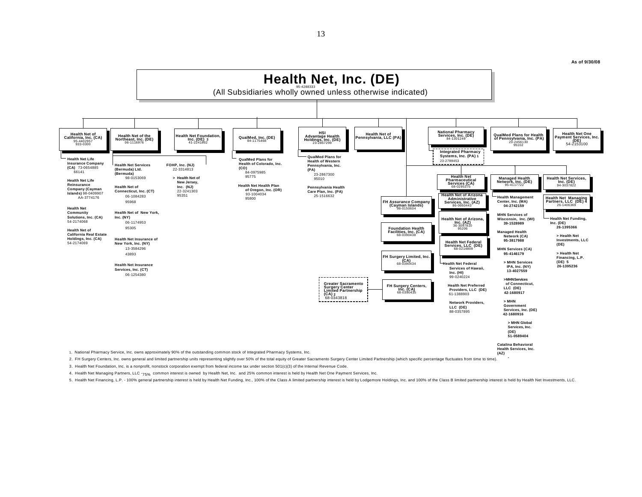

2. FH Surgery Centers, Inc. owns general and limited partnership units representing slightly over 50% of the total equity of Greater Sacramento Surgery Center Limited Partnership (which specific percentage fluctuates from

3. Health Net Foundation, Inc. is a nonprofit, nonstock corporation exempt from federal income tax under section 501(c)(3) of the Internal Revenue Code.

4. Health Net Managing Partners, LLC -75% common interest is owned by Health Net, Inc. and 25% common interest is held by Health Net One Payment Services, Inc.

5. Health Net Financing, L.P. - 100% general partnership interest is held by Health Net Funding, Inc., 100% of the Class A limited partnership interest is held by Lougemore Holdings, Inc. and 100% of the Class B limited pa

13

**As of 9/30/08**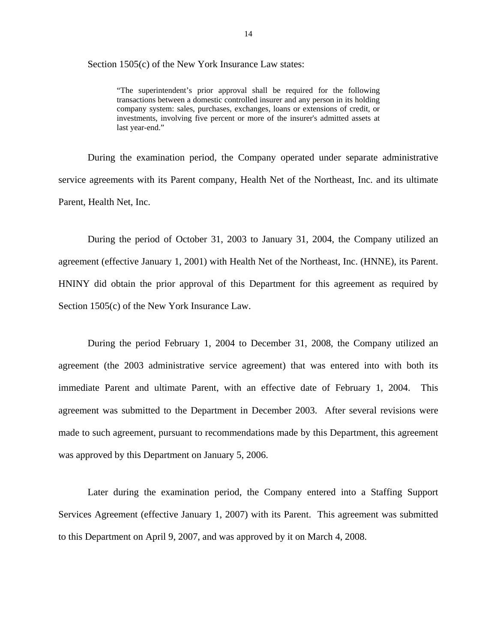Section 1505(c) of the New York Insurance Law states:

 transactions between a domestic controlled insurer and any person in its holding "The superintendent's prior approval shall be required for the following company system: sales, purchases, exchanges, loans or extensions of credit, or investments, involving five percent or more of the insurer's admitted assets at last year-end."

During the examination period, the Company operated under separate administrative service agreements with its Parent company, Health Net of the Northeast, Inc. and its ultimate Parent, Health Net, Inc.

During the period of October 31, 2003 to January 31, 2004, the Company utilized an agreement (effective January 1, 2001) with Health Net of the Northeast, Inc. (HNNE), its Parent. HNINY did obtain the prior approval of this Department for this agreement as required by Section 1505(c) of the New York Insurance Law.

During the period February 1, 2004 to December 31, 2008, the Company utilized an agreement (the 2003 administrative service agreement) that was entered into with both its immediate Parent and ultimate Parent, with an effective date of February 1, 2004. This agreement was submitted to the Department in December 2003. After several revisions were made to such agreement, pursuant to recommendations made by this Department, this agreement was approved by this Department on January 5, 2006.

Later during the examination period, the Company entered into a Staffing Support Services Agreement (effective January 1, 2007) with its Parent. This agreement was submitted to this Department on April 9, 2007, and was approved by it on March 4, 2008.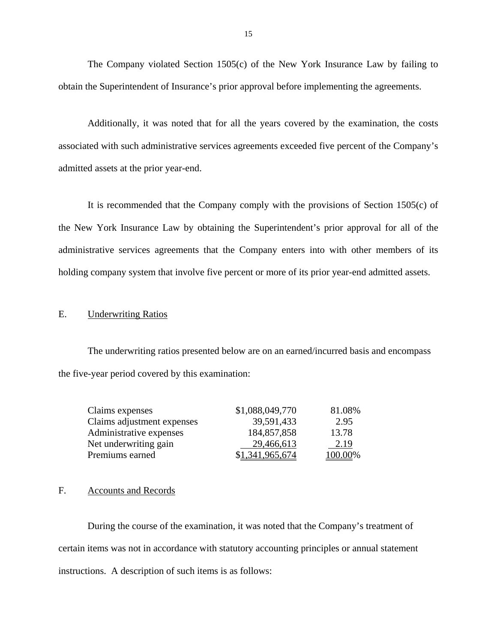The Company violated Section 1505(c) of the New York Insurance Law by failing to obtain the Superintendent of Insurance's prior approval before implementing the agreements.

Additionally, it was noted that for all the years covered by the examination, the costs associated with such administrative services agreements exceeded five percent of the Company's admitted assets at the prior year-end.

It is recommended that the Company comply with the provisions of Section 1505(c) of the New York Insurance Law by obtaining the Superintendent's prior approval for all of the administrative services agreements that the Company enters into with other members of its holding company system that involve five percent or more of its prior year-end admitted assets.

#### E. Underwriting Ratios

The underwriting ratios presented below are on an earned/incurred basis and encompass the five-year period covered by this examination:

| Claims expenses            | \$1,088,049,770 | 81.08%  |
|----------------------------|-----------------|---------|
| Claims adjustment expenses | 39,591,433      | 2.95    |
| Administrative expenses    | 184,857,858     | 13.78   |
| Net underwriting gain      | 29,466,613      | 2.19    |
| Premiums earned            | \$1,341,965,674 | 100.00% |

#### F. Accounts and Records

During the course of the examination, it was noted that the Company's treatment of certain items was not in accordance with statutory accounting principles or annual statement instructions. A description of such items is as follows: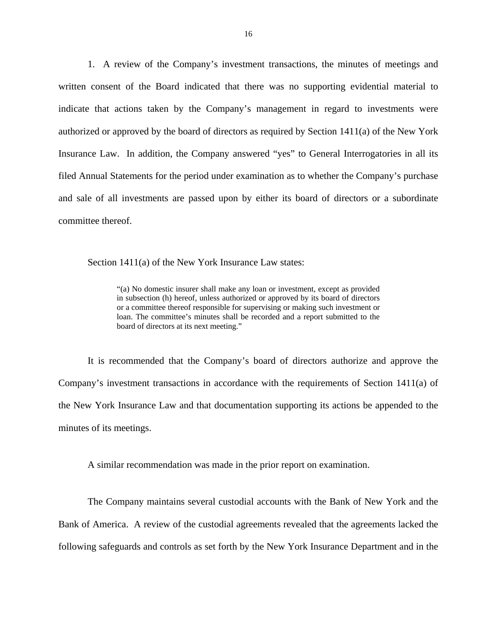1. A review of the Company's investment transactions, the minutes of meetings and written consent of the Board indicated that there was no supporting evidential material to indicate that actions taken by the Company's management in regard to investments were authorized or approved by the board of directors as required by Section 1411(a) of the New York Insurance Law. In addition, the Company answered "yes" to General Interrogatories in all its filed Annual Statements for the period under examination as to whether the Company's purchase and sale of all investments are passed upon by either its board of directors or a subordinate committee thereof.

Section 1411(a) of the New York Insurance Law states:

 in subsection (h) hereof, unless authorized or approved by its board of directors "(a) No domestic insurer shall make any loan or investment, except as provided or a committee thereof responsible for supervising or making such investment or loan. The committee's minutes shall be recorded and a report submitted to the board of directors at its next meeting."

It is recommended that the Company's board of directors authorize and approve the Company's investment transactions in accordance with the requirements of Section 1411(a) of the New York Insurance Law and that documentation supporting its actions be appended to the minutes of its meetings.

A similar recommendation was made in the prior report on examination.

The Company maintains several custodial accounts with the Bank of New York and the Bank of America. A review of the custodial agreements revealed that the agreements lacked the following safeguards and controls as set forth by the New York Insurance Department and in the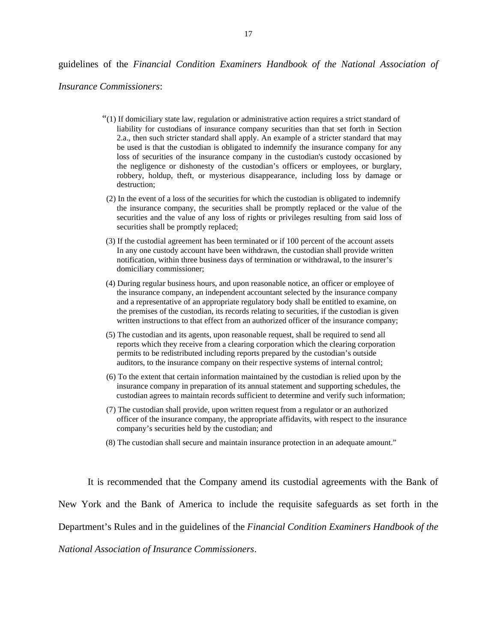#### guidelines of the *Financial Condition Examiners Handbook of the National Association of*

*Insurance Commissioners*:

- "(1) If domiciliary state law, regulation or administrative action requires a strict standard of liability for custodians of insurance company securities than that set forth in Section 2.a., then such stricter standard shall apply. An example of a stricter standard that may be used is that the custodian is obligated to indemnify the insurance company for any loss of securities of the insurance company in the custodian's custody occasioned by the negligence or dishonesty of the custodian's officers or employees, or burglary, robbery, holdup, theft, or mysterious disappearance, including loss by damage or destruction;
- (2) In the event of a loss of the securities for which the custodian is obligated to indemnify the insurance company, the securities shall be promptly replaced or the value of the securities and the value of any loss of rights or privileges resulting from said loss of securities shall be promptly replaced;
- (3) If the custodial agreement has been terminated or if 100 percent of the account assets In any one custody account have been withdrawn, the custodian shall provide written notification, within three business days of termination or withdrawal, to the insurer's domiciliary commissioner;
- (4) During regular business hours, and upon reasonable notice, an officer or employee of the insurance company, an independent accountant selected by the insurance company and a representative of an appropriate regulatory body shall be entitled to examine, on the premises of the custodian, its records relating to securities, if the custodian is given written instructions to that effect from an authorized officer of the insurance company;
- (5) The custodian and its agents, upon reasonable request, shall be required to send all reports which they receive from a clearing corporation which the clearing corporation permits to be redistributed including reports prepared by the custodian's outside auditors, to the insurance company on their respective systems of internal control;
- (6) To the extent that certain information maintained by the custodian is relied upon by the insurance company in preparation of its annual statement and supporting schedules, the custodian agrees to maintain records sufficient to determine and verify such information;
- (7) The custodian shall provide, upon written request from a regulator or an authorized officer of the insurance company, the appropriate affidavits, with respect to the insurance company's securities held by the custodian; and
- (8) The custodian shall secure and maintain insurance protection in an adequate amount."

It is recommended that the Company amend its custodial agreements with the Bank of New York and the Bank of America to include the requisite safeguards as set forth in the Department's Rules and in the guidelines of the *Financial Condition Examiners Handbook of the National Association of Insurance Commissioners*.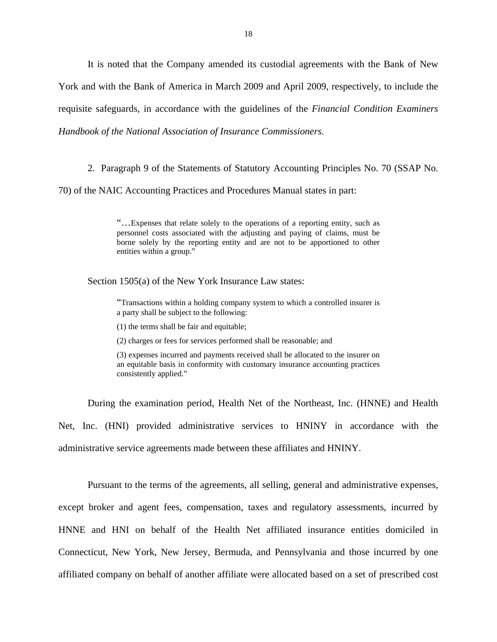*Handbook of the National Association of Insurance Commissioners.* It is noted that the Company amended its custodial agreements with the Bank of New York and with the Bank of America in March 2009 and April 2009, respectively, to include the requisite safeguards, in accordance with the guidelines of the *Financial Condition Examiners* 

2. Paragraph 9 of the Statements of Statutory Accounting Principles No. 70 (SSAP No.

70) of the NAIC Accounting Practices and Procedures Manual states in part:

"…Expenses that relate solely to the operations of a reporting entity, such as personnel costs associated with the adjusting and paying of claims, must be borne solely by the reporting entity and are not to be apportioned to other entities within a group."

Section 1505(a) of the New York Insurance Law states:

"Transactions within a holding company system to which a controlled insurer is a party shall be subject to the following:

(1) the terms shall be fair and equitable;

(2) charges or fees for services performed shall be reasonable; and

(3) expenses incurred and payments received shall be allocated to the insurer on an equitable basis in conformity with customary insurance accounting practices consistently applied."

During the examination period, Health Net of the Northeast, Inc. (HNNE) and Health Net, Inc. (HNI) provided administrative services to HNINY in accordance with the administrative service agreements made between these affiliates and HNINY.

Pursuant to the terms of the agreements, all selling, general and administrative expenses, except broker and agent fees, compensation, taxes and regulatory assessments, incurred by HNNE and HNI on behalf of the Health Net affiliated insurance entities domiciled in Connecticut, New York, New Jersey, Bermuda, and Pennsylvania and those incurred by one affiliated company on behalf of another affiliate were allocated based on a set of prescribed cost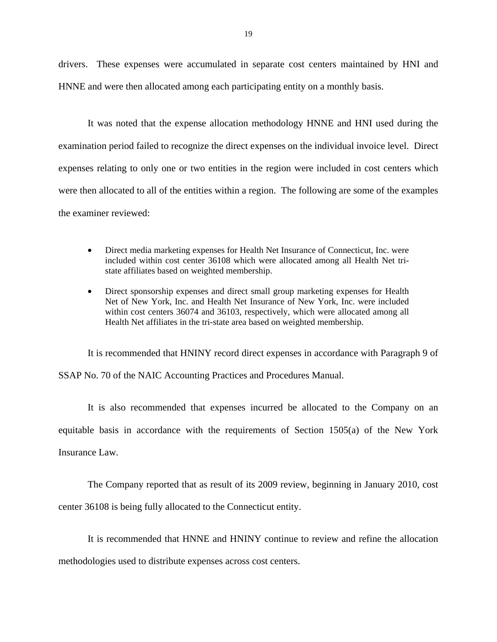drivers. These expenses were accumulated in separate cost centers maintained by HNI and HNNE and were then allocated among each participating entity on a monthly basis.

It was noted that the expense allocation methodology HNNE and HNI used during the examination period failed to recognize the direct expenses on the individual invoice level. Direct expenses relating to only one or two entities in the region were included in cost centers which were then allocated to all of the entities within a region. The following are some of the examples the examiner reviewed:

- Direct media marketing expenses for Health Net Insurance of Connecticut, Inc. were included within cost center 36108 which were allocated among all Health Net tristate affiliates based on weighted membership.
- Direct sponsorship expenses and direct small group marketing expenses for Health Net of New York, Inc. and Health Net Insurance of New York, Inc. were included within cost centers 36074 and 36103, respectively, which were allocated among all Health Net affiliates in the tri-state area based on weighted membership.

It is recommended that HNINY record direct expenses in accordance with Paragraph 9 of SSAP No. 70 of the NAIC Accounting Practices and Procedures Manual.

It is also recommended that expenses incurred be allocated to the Company on an equitable basis in accordance with the requirements of Section 1505(a) of the New York Insurance Law.

The Company reported that as result of its 2009 review, beginning in January 2010, cost center 36108 is being fully allocated to the Connecticut entity.

It is recommended that HNNE and HNINY continue to review and refine the allocation

methodologies used to distribute expenses across cost centers.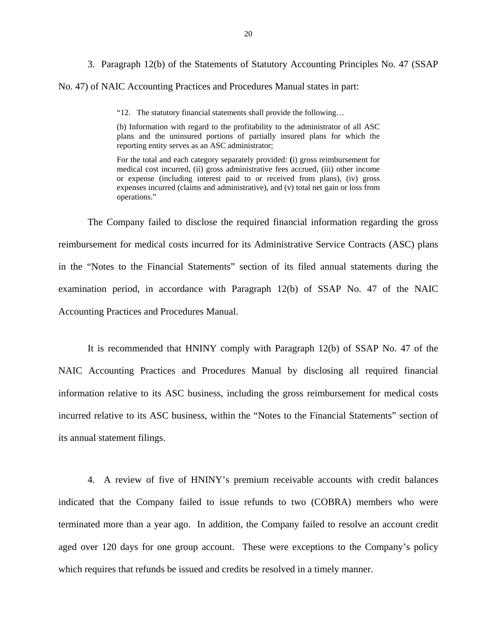3. Paragraph 12(b) of the Statements of Statutory Accounting Principles No. 47 (SSAP No. 47) of NAIC Accounting Practices and Procedures Manual states in part:

"12. The statutory financial statements shall provide the following…

(b) Information with regard to the profitability to the administrator of all ASC plans and the uninsured portions of partially insured plans for which the reporting entity serves as an ASC administrator;

For the total and each category separately provided: **(**i) gross reimbursement for medical cost incurred, (ii) gross administrative fees accrued, (iii) other income or expense (including interest paid to or received from plans), (iv) gross expenses incurred (claims and administrative), and (v) total net gain or loss from operations."

The Company failed to disclose the required financial information regarding the gross reimbursement for medical costs incurred for its Administrative Service Contracts (ASC) plans in the "Notes to the Financial Statements" section of its filed annual statements during the examination period, in accordance with Paragraph 12(b) of SSAP No. 47 of the NAIC Accounting Practices and Procedures Manual.

It is recommended that HNINY comply with Paragraph 12(b) of SSAP No. 47 of the NAIC Accounting Practices and Procedures Manual by disclosing all required financial information relative to its ASC business, including the gross reimbursement for medical costs incurred relative to its ASC business, within the "Notes to the Financial Statements" section of its annual statement filings.

4. A review of five of HNINY's premium receivable accounts with credit balances indicated that the Company failed to issue refunds to two (COBRA) members who were terminated more than a year ago. In addition, the Company failed to resolve an account credit aged over 120 days for one group account. These were exceptions to the Company's policy which requires that refunds be issued and credits be resolved in a timely manner.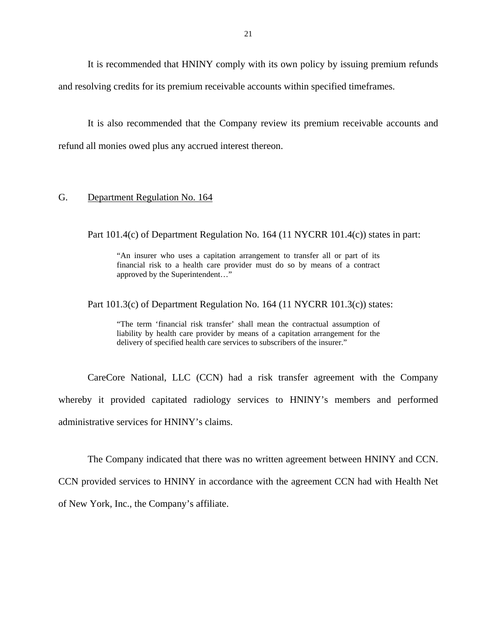<span id="page-22-0"></span>It is recommended that HNINY comply with its own policy by issuing premium refunds and resolving credits for its premium receivable accounts within specified timeframes.

It is also recommended that the Company review its premium receivable accounts and refund all monies owed plus any accrued interest thereon.

#### G. Department Regulation No. 164

Part 101.4(c) of Department Regulation No. 164 (11 NYCRR 101.4(c)) states in part:

"An insurer who uses a capitation arrangement to transfer all or part of its financial risk to a health care provider must do so by means of a contract approved by the Superintendent…"

Part 101.3(c) of Department Regulation No. 164 (11 NYCRR 101.3(c)) states:

"The term 'financial risk transfer' shall mean the contractual assumption of liability by health care provider by means of a capitation arrangement for the delivery of specified health care services to subscribers of the insurer."

CareCore National, LLC (CCN) had a risk transfer agreement with the Company whereby it provided capitated radiology services to HNINY's members and performed administrative services for HNINY's claims.

The Company indicated that there was no written agreement between HNINY and CCN.

CCN provided services to HNINY in accordance with the agreement CCN had with Health Net of New York, Inc., the Company's affiliate.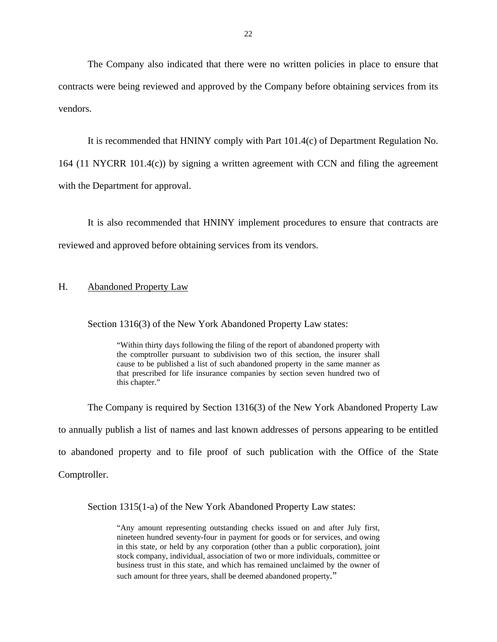<span id="page-23-0"></span>The Company also indicated that there were no written policies in place to ensure that contracts were being reviewed and approved by the Company before obtaining services from its vendors.

It is recommended that HNINY comply with Part 101.4(c) of Department Regulation No. 164 (11 NYCRR 101.4(c)) by signing a written agreement with CCN and filing the agreement with the Department for approval.

It is also recommended that HNINY implement procedures to ensure that contracts are reviewed and approved before obtaining services from its vendors.

#### H. Abandoned Property Law

Section 1316(3) of the New York Abandoned Property Law states:

 cause to be published a list of such abandoned property in the same manner as that prescribed for life insurance companies by section seven hundred two of "Within thirty days following the filing of the report of abandoned property with the comptroller pursuant to subdivision two of this section, the insurer shall this chapter."

The Company is required by Section 1316(3) of the New York Abandoned Property Law to annually publish a list of names and last known addresses of persons appearing to be entitled to abandoned property and to file proof of such publication with the Office of the State Comptroller.

Section 1315(1-a) of the New York Abandoned Property Law states:

 nineteen hundred seventy-four in payment for goods or for services, and owing "Any amount representing outstanding checks issued on and after July first, in this state, or held by any corporation (other than a public corporation), joint stock company, individual, association of two or more individuals, committee or business trust in this state, and which has remained unclaimed by the owner of such amount for three years, shall be deemed abandoned property."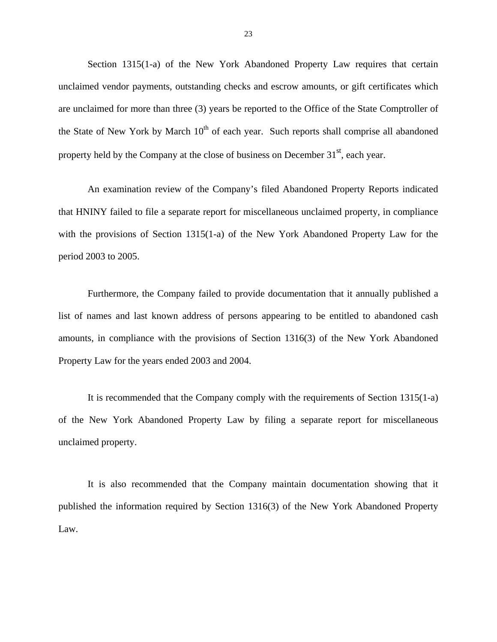Section 1315(1-a) of the New York Abandoned Property Law requires that certain unclaimed vendor payments, outstanding checks and escrow amounts, or gift certificates which are unclaimed for more than three (3) years be reported to the Office of the State Comptroller of the State of New York by March  $10<sup>th</sup>$  of each year. Such reports shall comprise all abandoned property held by the Company at the close of business on December  $31<sup>st</sup>$ , each year.

An examination review of the Company's filed Abandoned Property Reports indicated that HNINY failed to file a separate report for miscellaneous unclaimed property, in compliance with the provisions of Section 1315(1-a) of the New York Abandoned Property Law for the period 2003 to 2005.

Furthermore, the Company failed to provide documentation that it annually published a list of names and last known address of persons appearing to be entitled to abandoned cash amounts, in compliance with the provisions of Section 1316(3) of the New York Abandoned Property Law for the years ended 2003 and 2004.

It is recommended that the Company comply with the requirements of Section 1315(1-a) of the New York Abandoned Property Law by filing a separate report for miscellaneous unclaimed property.

It is also recommended that the Company maintain documentation showing that it published the information required by Section 1316(3) of the New York Abandoned Property Law.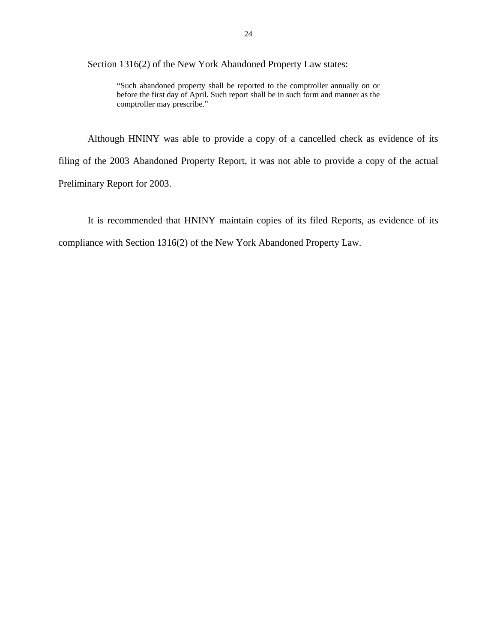Section 1316(2) of the New York Abandoned Property Law states:

 "Such abandoned property shall be reported to the comptroller annually on or before the first day of April. Such report shall be in such form and manner as the comptroller may prescribe."

Although HNINY was able to provide a copy of a cancelled check as evidence of its filing of the 2003 Abandoned Property Report, it was not able to provide a copy of the actual Preliminary Report for 2003.

It is recommended that HNINY maintain copies of its filed Reports, as evidence of its compliance with Section 1316(2) of the New York Abandoned Property Law.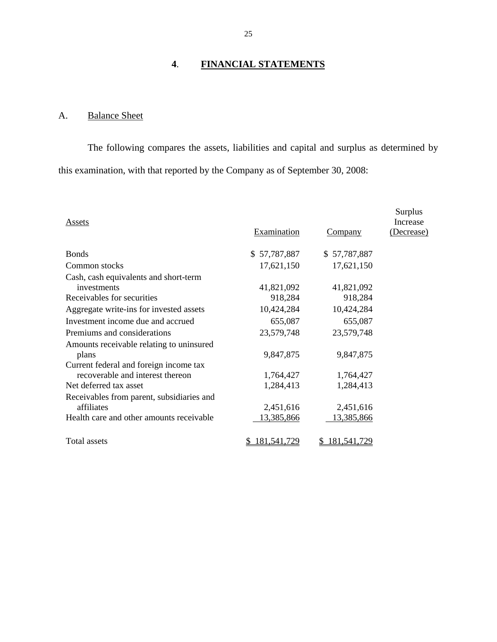# **4**. **FINANCIAL STATEMENTS**

# A. Balance Sheet

The following compares the assets, liabilities and capital and surplus as determined by this examination, with that reported by the Company as of September 30, 2008:

| <b>Assets</b>                                           | Examination  | <b>Company</b> | Surplus<br>Increase<br>(Decrease) |
|---------------------------------------------------------|--------------|----------------|-----------------------------------|
| <b>Bonds</b>                                            | \$57,787,887 | \$57,787,887   |                                   |
| Common stocks                                           | 17,621,150   | 17,621,150     |                                   |
| Cash, cash equivalents and short-term<br>investments    | 41,821,092   | 41,821,092     |                                   |
| Receivables for securities                              | 918,284      | 918,284        |                                   |
| Aggregate write-ins for invested assets                 | 10,424,284   | 10,424,284     |                                   |
| Investment income due and accrued                       | 655,087      | 655,087        |                                   |
| Premiums and considerations                             | 23,579,748   | 23,579,748     |                                   |
| Amounts receivable relating to uninsured<br>plans       | 9,847,875    | 9,847,875      |                                   |
| Current federal and foreign income tax                  |              |                |                                   |
| recoverable and interest thereon                        | 1,764,427    | 1,764,427      |                                   |
| Net deferred tax asset                                  | 1,284,413    | 1,284,413      |                                   |
| Receivables from parent, subsidiaries and<br>affiliates | 2,451,616    | 2,451,616      |                                   |
| Health care and other amounts receivable                | 13,385,866   | 13,385,866     |                                   |
| Total assets                                            | 181,541,729  | 181.541.729    |                                   |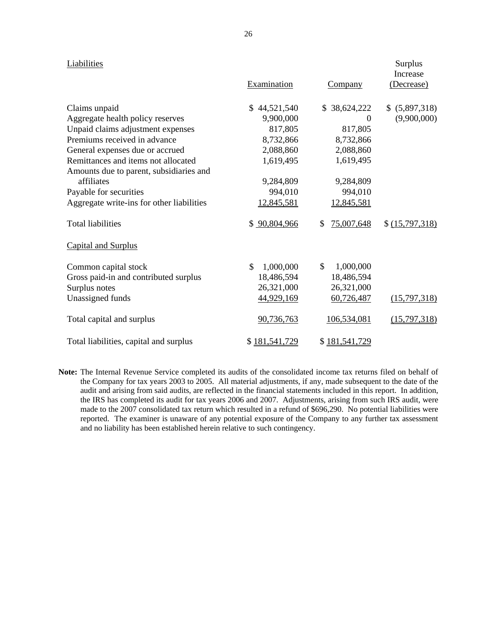#### Liabilities

| Liabilities                               | Examination     | <u>Company</u>   | Surplus<br>Increase<br>(Decrease) |
|-------------------------------------------|-----------------|------------------|-----------------------------------|
| Claims unpaid                             | \$44,521,540    | \$38,624,222     | \$ (5,897,318)                    |
| Aggregate health policy reserves          | 9,900,000       | $\Omega$         | (9,900,000)                       |
| Unpaid claims adjustment expenses         | 817,805         | 817,805          |                                   |
| Premiums received in advance              | 8,732,866       | 8,732,866        |                                   |
| General expenses due or accrued           | 2,088,860       | 2,088,860        |                                   |
| Remittances and items not allocated       | 1,619,495       | 1,619,495        |                                   |
| Amounts due to parent, subsidiaries and   |                 |                  |                                   |
| affiliates                                | 9,284,809       | 9,284,809        |                                   |
| Payable for securities                    | 994,010         | 994,010          |                                   |
| Aggregate write-ins for other liabilities | 12,845,581      | 12,845,581       |                                   |
| <b>Total liabilities</b>                  | \$ 90,804,966   | 75,007,648<br>\$ | \$ (15,797,318)                   |
| <b>Capital and Surplus</b>                |                 |                  |                                   |
| Common capital stock                      | \$<br>1,000,000 | \$<br>1,000,000  |                                   |
| Gross paid-in and contributed surplus     | 18,486,594      | 18,486,594       |                                   |
| Surplus notes                             | 26,321,000      | 26,321,000       |                                   |
| Unassigned funds                          | 44,929,169      | 60,726,487       | (15,797,318)                      |
| Total capital and surplus                 | 90,736,763      | 106,534,081      | (15,797,318)                      |
| Total liabilities, capital and surplus    | \$181,541,729   | \$181,541,729    |                                   |

 **Note:** The Internal Revenue Service completed its audits of the consolidated income tax returns filed on behalf of and no liability has been established herein relative to such contingency. the Company for tax years 2003 to 2005. All material adjustments, if any, made subsequent to the date of the audit and arising from said audits, are reflected in the financial statements included in this report. In addition, the IRS has completed its audit for tax years 2006 and 2007. Adjustments, arising from such IRS audit, were made to the 2007 consolidated tax return which resulted in a refund of \$696,290. No potential liabilities were reported. The examiner is unaware of any potential exposure of the Company to any further tax assessment

Surplus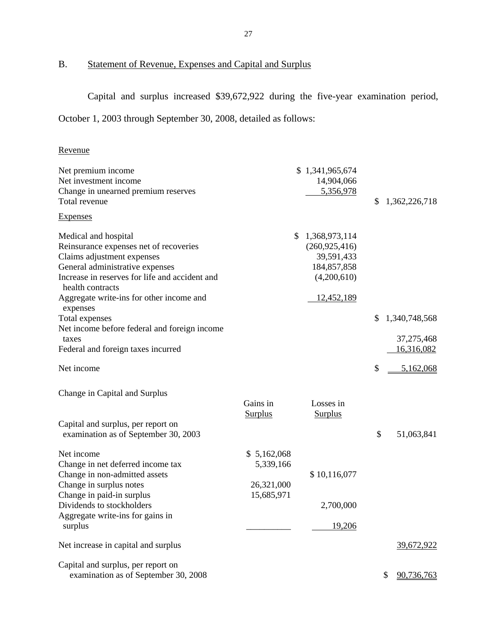# B. Statement of Revenue, Expenses and Capital and Surplus

Capital and surplus increased \$39,672,922 during the five-year examination period, October 1, 2003 through September 30, 2008, detailed as follows:

## Revenue

| Net premium income<br>Net investment income<br>Change in unearned premium reserves<br>Total revenue                                                                                                                                               |                                                      | \$1,341,965,674<br>14,904,066<br>5,356,978                                                 | \$<br>1,362,226,718      |
|---------------------------------------------------------------------------------------------------------------------------------------------------------------------------------------------------------------------------------------------------|------------------------------------------------------|--------------------------------------------------------------------------------------------|--------------------------|
| <b>Expenses</b>                                                                                                                                                                                                                                   |                                                      |                                                                                            |                          |
| Medical and hospital<br>Reinsurance expenses net of recoveries<br>Claims adjustment expenses<br>General administrative expenses<br>Increase in reserves for life and accident and<br>health contracts<br>Aggregate write-ins for other income and | S                                                    | 1,368,973,114<br>(260, 925, 416)<br>39,591,433<br>184,857,858<br>(4,200,610)<br>12,452,189 |                          |
| expenses<br>Total expenses                                                                                                                                                                                                                        |                                                      |                                                                                            | \$<br>1,340,748,568      |
| Net income before federal and foreign income<br>taxes<br>Federal and foreign taxes incurred                                                                                                                                                       |                                                      |                                                                                            | 37,275,468<br>16,316,082 |
| Net income                                                                                                                                                                                                                                        |                                                      |                                                                                            | \$<br>5,162,068          |
| Change in Capital and Surplus<br>Capital and surplus, per report on<br>examination as of September 30, 2003                                                                                                                                       | Gains in<br><b>Surplus</b>                           | Losses in<br><b>Surplus</b>                                                                | \$<br>51,063,841         |
| Net income<br>Change in net deferred income tax<br>Change in non-admitted assets<br>Change in surplus notes<br>Change in paid-in surplus                                                                                                          | \$5,162,068<br>5,339,166<br>26,321,000<br>15,685,971 | \$10,116,077                                                                               |                          |
| Dividends to stockholders<br>Aggregate write-ins for gains in                                                                                                                                                                                     |                                                      | 2,700,000                                                                                  |                          |
| surplus                                                                                                                                                                                                                                           |                                                      | 19,206                                                                                     |                          |
| Net increase in capital and surplus                                                                                                                                                                                                               |                                                      |                                                                                            | 39,672,922               |
| Capital and surplus, per report on<br>examination as of September 30, 2008                                                                                                                                                                        |                                                      |                                                                                            | \$<br>90,736,763         |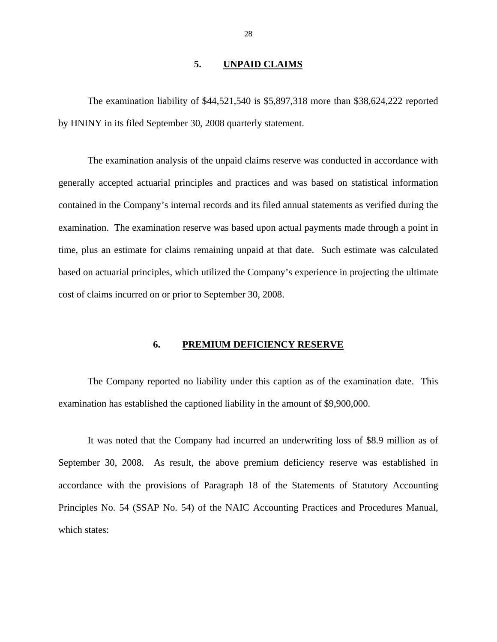#### **5. UNPAID CLAIMS**

<span id="page-29-0"></span>The examination liability of \$44,521,540 is \$5,897,318 more than \$38,624,222 reported by HNINY in its filed September 30, 2008 quarterly statement.

The examination analysis of the unpaid claims reserve was conducted in accordance with generally accepted actuarial principles and practices and was based on statistical information contained in the Company's internal records and its filed annual statements as verified during the examination. The examination reserve was based upon actual payments made through a point in time, plus an estimate for claims remaining unpaid at that date. Such estimate was calculated based on actuarial principles, which utilized the Company's experience in projecting the ultimate cost of claims incurred on or prior to September 30, 2008.

#### **6. PREMIUM DEFICIENCY RESERVE**

The Company reported no liability under this caption as of the examination date. This examination has established the captioned liability in the amount of \$9,900,000.

It was noted that the Company had incurred an underwriting loss of \$8.9 million as of September 30, 2008. As result, the above premium deficiency reserve was established in accordance with the provisions of Paragraph 18 of the Statements of Statutory Accounting Principles No. 54 (SSAP No. 54) of the NAIC Accounting Practices and Procedures Manual*,*  which states: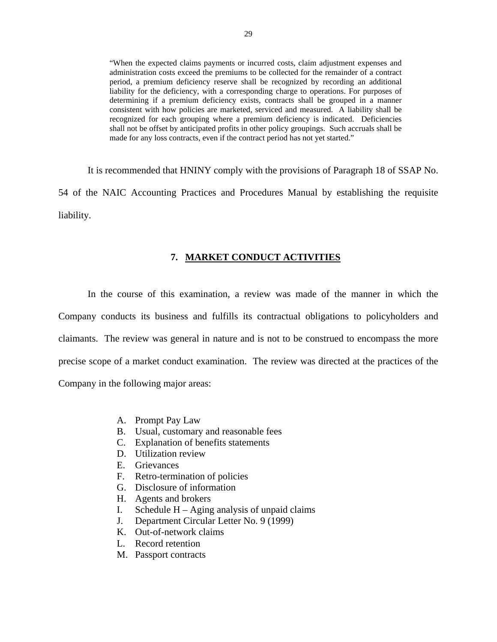<span id="page-30-0"></span> shall not be offset by anticipated profits in other policy groupings. Such accruals shall be "When the expected claims payments or incurred costs, claim adjustment expenses and administration costs exceed the premiums to be collected for the remainder of a contract period, a premium deficiency reserve shall be recognized by recording an additional liability for the deficiency, with a corresponding charge to operations. For purposes of determining if a premium deficiency exists, contracts shall be grouped in a manner consistent with how policies are marketed, serviced and measured. A liability shall be recognized for each grouping where a premium deficiency is indicated. Deficiencies made for any loss contracts, even if the contract period has not yet started."

It is recommended that HNINY comply with the provisions of Paragraph 18 of SSAP No. 54 of the NAIC Accounting Practices and Procedures Manual by establishing the requisite liability.

#### **7. MARKET CONDUCT ACTIVITIES**

In the course of this examination, a review was made of the manner in which the Company conducts its business and fulfills its contractual obligations to policyholders and claimants. The review was general in nature and is not to be construed to encompass the more precise scope of a market conduct examination. The review was directed at the practices of the Company in the following major areas:

- A. Prompt Pay Law
- B. Usual, customary and reasonable fees
- C. Explanation of benefits statements
- D. Utilization review
- E. Grievances
- F. Retro-termination of policies
- G. Disclosure of information
- H. Agents and brokers
- I. Schedule H Aging analysis of unpaid claims J. Department Circular Letter No. 9 (1999)
- 
- K. Out-of-network claims
- L. Record retention
- M. Passport contracts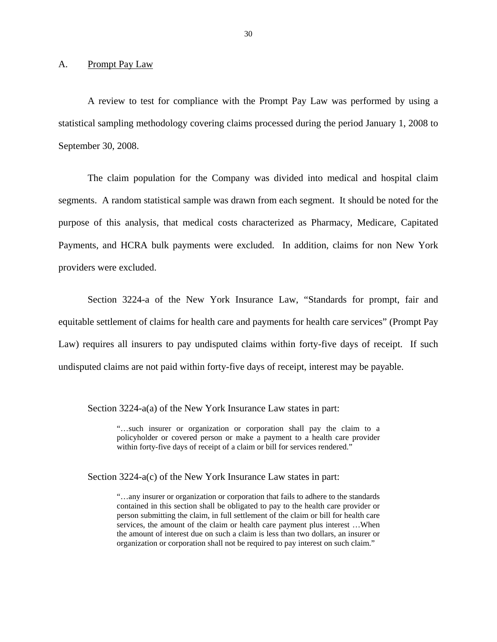<span id="page-31-0"></span>A. Prompt Pay Law

A review to test for compliance with the Prompt Pay Law was performed by using a statistical sampling methodology covering claims processed during the period January 1, 2008 to September 30, 2008.

The claim population for the Company was divided into medical and hospital claim segments. A random statistical sample was drawn from each segment. It should be noted for the purpose of this analysis, that medical costs characterized as Pharmacy, Medicare, Capitated Payments, and HCRA bulk payments were excluded. In addition, claims for non New York providers were excluded.

Section 3224-a of the New York Insurance Law, "Standards for prompt, fair and equitable settlement of claims for health care and payments for health care services" (Prompt Pay Law) requires all insurers to pay undisputed claims within forty-five days of receipt. If such undisputed claims are not paid within forty-five days of receipt, interest may be payable.

Section 3224-a(a) of the New York Insurance Law states in part:

"…such insurer or organization or corporation shall pay the claim to a policyholder or covered person or make a payment to a health care provider within forty-five days of receipt of a claim or bill for services rendered."

Section 3224-a(c) of the New York Insurance Law states in part:

 contained in this section shall be obligated to pay to the health care provider or person submitting the claim, in full settlement of the claim or bill for health care "…any insurer or organization or corporation that fails to adhere to the standards services, the amount of the claim or health care payment plus interest …When the amount of interest due on such a claim is less than two dollars, an insurer or organization or corporation shall not be required to pay interest on such claim."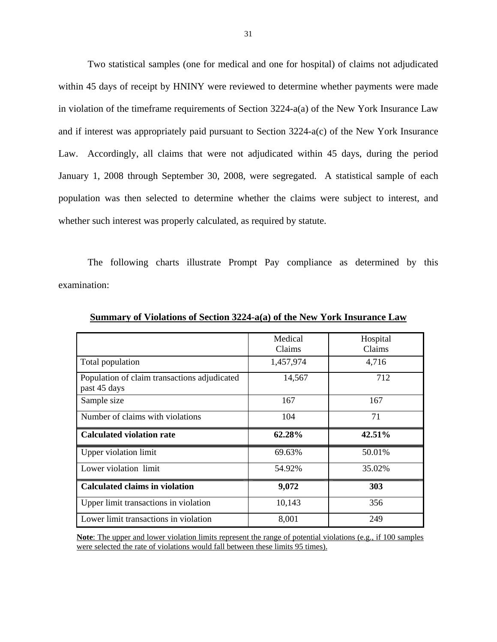Two statistical samples (one for medical and one for hospital) of claims not adjudicated within 45 days of receipt by HNINY were reviewed to determine whether payments were made in violation of the timeframe requirements of Section 3224-a(a) of the New York Insurance Law and if interest was appropriately paid pursuant to Section 3224-a(c) of the New York Insurance Law. Accordingly, all claims that were not adjudicated within 45 days, during the period January 1, 2008 through September 30, 2008, were segregated. A statistical sample of each population was then selected to determine whether the claims were subject to interest, and whether such interest was properly calculated, as required by statute.

The following charts illustrate Prompt Pay compliance as determined by this examination:

|                                              | Medical   | Hospital |
|----------------------------------------------|-----------|----------|
|                                              | Claims    | Claims   |
| Total population                             | 1,457,974 | 4,716    |
| Population of claim transactions adjudicated | 14,567    | 712      |
| past 45 days                                 |           |          |
| Sample size                                  | 167       | 167      |
| Number of claims with violations             | 104       | 71       |
| <b>Calculated violation rate</b>             | 62.28%    | 42.51%   |
| <b>Upper violation limit</b>                 | 69.63%    | 50.01%   |
| Lower violation limit                        | 54.92%    | 35.02%   |
| <b>Calculated claims in violation</b>        | 9,072     | 303      |
| Upper limit transactions in violation        | 10,143    | 356      |
| Lower limit transactions in violation        | 8,001     | 249      |

**Summary of Violations of Section 3224-a(a) of the New York Insurance Law** 

**Note**: The upper and lower violation limits represent the range of potential violations (e.g., if 100 samples were selected the rate of violations would fall between these limits 95 times).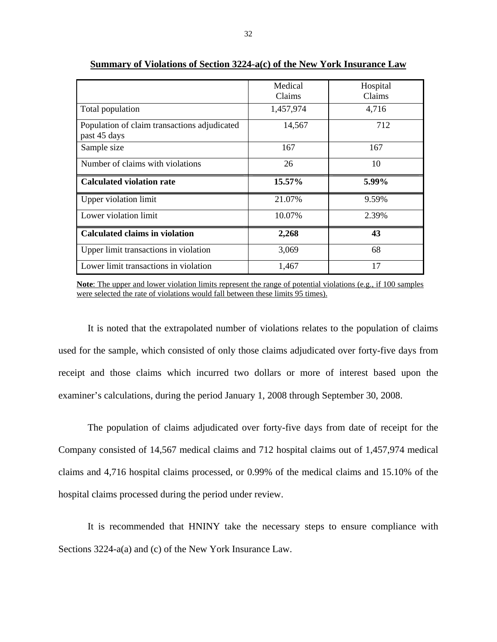|                                                              | Medical<br>Claims | Hospital<br>Claims |
|--------------------------------------------------------------|-------------------|--------------------|
| Total population                                             | 1,457,974         | 4,716              |
| Population of claim transactions adjudicated<br>past 45 days | 14,567            | 712                |
| Sample size                                                  | 167               | 167                |
| Number of claims with violations                             | 26                | 10                 |
| <b>Calculated violation rate</b>                             | 15.57%            | 5.99%              |
| <b>Upper violation limit</b>                                 | 21.07%            | 9.59%              |
| Lower violation limit                                        | 10.07%            | 2.39%              |
| <b>Calculated claims in violation</b>                        | 2,268             | 43                 |
| Upper limit transactions in violation                        | 3,069             | 68                 |
| Lower limit transactions in violation                        | 1,467             | 17                 |

**Summary of Violations of Section 3224-a(c) of the New York Insurance Law** 

**Note**: The upper and lower violation limits represent the range of potential violations (e.g., if 100 samples were selected the rate of violations would fall between these limits 95 times).

It is noted that the extrapolated number of violations relates to the population of claims used for the sample, which consisted of only those claims adjudicated over forty-five days from receipt and those claims which incurred two dollars or more of interest based upon the examiner's calculations, during the period January 1, 2008 through September 30, 2008.

The population of claims adjudicated over forty-five days from date of receipt for the Company consisted of 14,567 medical claims and 712 hospital claims out of 1,457,974 medical claims and 4,716 hospital claims processed, or 0.99% of the medical claims and 15.10% of the hospital claims processed during the period under review.

It is recommended that HNINY take the necessary steps to ensure compliance with Sections 3224-a(a) and (c) of the New York Insurance Law.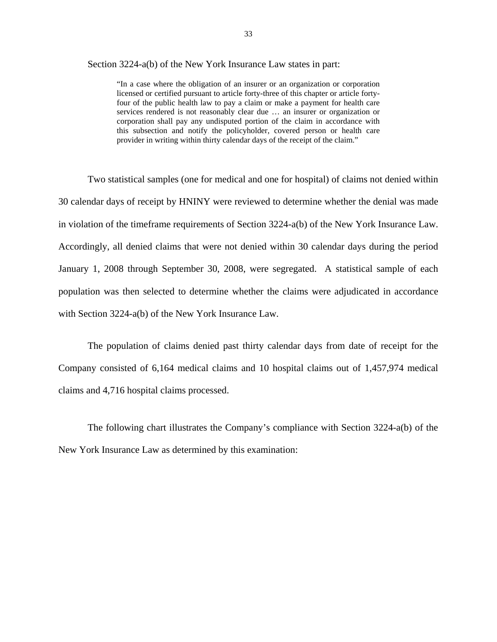Section 3224-a(b) of the New York Insurance Law states in part:

 licensed or certified pursuant to article forty-three of this chapter or article forty-"In a case where the obligation of an insurer or an organization or corporation four of the public health law to pay a claim or make a payment for health care services rendered is not reasonably clear due … an insurer or organization or corporation shall pay any undisputed portion of the claim in accordance with this subsection and notify the policyholder, covered person or health care provider in writing within thirty calendar days of the receipt of the claim."

Two statistical samples (one for medical and one for hospital) of claims not denied within 30 calendar days of receipt by HNINY were reviewed to determine whether the denial was made in violation of the timeframe requirements of Section 3224-a(b) of the New York Insurance Law. Accordingly, all denied claims that were not denied within 30 calendar days during the period January 1, 2008 through September 30, 2008, were segregated. A statistical sample of each population was then selected to determine whether the claims were adjudicated in accordance with Section 3224-a(b) of the New York Insurance Law.

The population of claims denied past thirty calendar days from date of receipt for the Company consisted of 6,164 medical claims and 10 hospital claims out of 1,457,974 medical claims and 4,716 hospital claims processed.

The following chart illustrates the Company's compliance with Section 3224-a(b) of the New York Insurance Law as determined by this examination: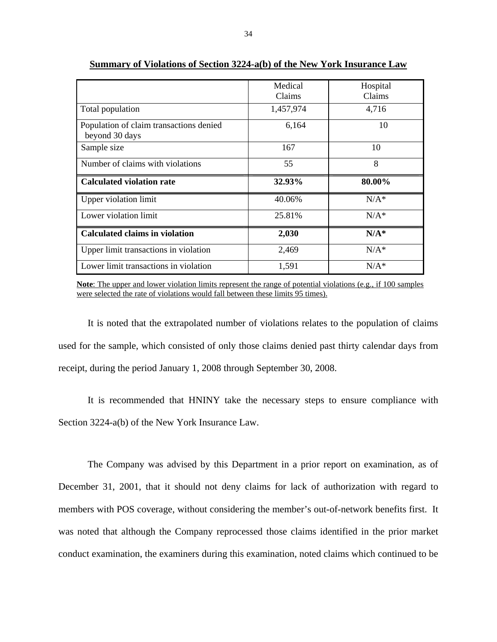|                                                           | Medical<br>Claims | Hospital<br>Claims |
|-----------------------------------------------------------|-------------------|--------------------|
| Total population                                          | 1,457,974         | 4,716              |
| Population of claim transactions denied<br>beyond 30 days | 6,164             | 10                 |
| Sample size                                               | 167               | 10                 |
| Number of claims with violations                          | 55                | 8                  |
| <b>Calculated violation rate</b>                          | 32.93%            | 80.00%             |
| <b>Upper violation limit</b>                              | 40.06%            | $N/A^*$            |
| Lower violation limit                                     | 25.81%            | $N/A^*$            |
| <b>Calculated claims in violation</b>                     | 2,030             | $N/A^*$            |
| Upper limit transactions in violation                     | 2,469             | $N/A^*$            |
| Lower limit transactions in violation                     | 1,591             | $N/A^*$            |

**Summary of Violations of Section 3224-a(b) of the New York Insurance Law** 

**Note**: The upper and lower violation limits represent the range of potential violations (e.g., if 100 samples were selected the rate of violations would fall between these limits 95 times).

It is noted that the extrapolated number of violations relates to the population of claims used for the sample, which consisted of only those claims denied past thirty calendar days from receipt, during the period January 1, 2008 through September 30, 2008.

It is recommended that HNINY take the necessary steps to ensure compliance with Section 3224-a(b) of the New York Insurance Law.

The Company was advised by this Department in a prior report on examination, as of December 31, 2001, that it should not deny claims for lack of authorization with regard to members with POS coverage, without considering the member's out-of-network benefits first. It was noted that although the Company reprocessed those claims identified in the prior market conduct examination, the examiners during this examination, noted claims which continued to be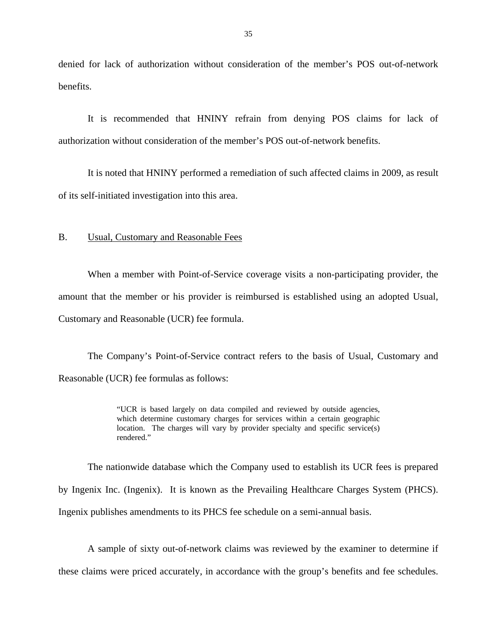<span id="page-36-0"></span>denied for lack of authorization without consideration of the member's POS out-of-network benefits.

It is recommended that HNINY refrain from denying POS claims for lack of authorization without consideration of the member's POS out-of-network benefits.

It is noted that HNINY performed a remediation of such affected claims in 2009, as result of its self-initiated investigation into this area.

#### B. Usual, Customary and Reasonable Fees

When a member with Point-of-Service coverage visits a non-participating provider, the amount that the member or his provider is reimbursed is established using an adopted Usual, Customary and Reasonable (UCR) fee formula.

The Company's Point-of-Service contract refers to the basis of Usual, Customary and Reasonable (UCR) fee formulas as follows:

> "UCR is based largely on data compiled and reviewed by outside agencies, which determine customary charges for services within a certain geographic location. The charges will vary by provider specialty and specific service(s) rendered."

The nationwide database which the Company used to establish its UCR fees is prepared by Ingenix Inc. (Ingenix). It is known as the Prevailing Healthcare Charges System (PHCS). Ingenix publishes amendments to its PHCS fee schedule on a semi-annual basis.

 these claims were priced accurately, in accordance with the group's benefits and fee schedules. A sample of sixty out-of-network claims was reviewed by the examiner to determine if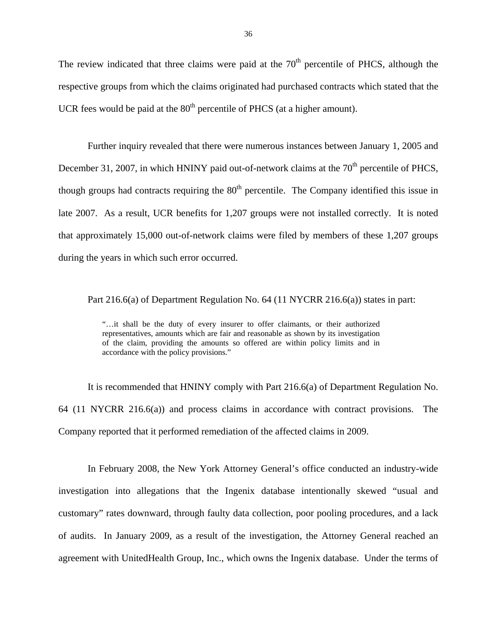The review indicated that three claims were paid at the  $70<sup>th</sup>$  percentile of PHCS, although the respective groups from which the claims originated had purchased contracts which stated that the UCR fees would be paid at the  $80<sup>th</sup>$  percentile of PHCS (at a higher amount).

Further inquiry revealed that there were numerous instances between January 1, 2005 and December 31, 2007, in which HNINY paid out-of-network claims at the 70<sup>th</sup> percentile of PHCS. though groups had contracts requiring the  $80<sup>th</sup>$  percentile. The Company identified this issue in late 2007. As a result, UCR benefits for 1,207 groups were not installed correctly. It is noted that approximately 15,000 out-of-network claims were filed by members of these 1,207 groups during the years in which such error occurred.

Part 216.6(a) of Department Regulation No. 64 (11 NYCRR 216.6(a)) states in part:

accordance with the policy provisions." "…it shall be the duty of every insurer to offer claimants, or their authorized representatives, amounts which are fair and reasonable as shown by its investigation of the claim, providing the amounts so offered are within policy limits and in

It is recommended that HNINY comply with Part 216.6(a) of Department Regulation No. 64 (11 NYCRR 216.6(a)) and process claims in accordance with contract provisions. The Company reported that it performed remediation of the affected claims in 2009.

In February 2008, the New York Attorney General's office conducted an industry-wide investigation into allegations that the Ingenix database intentionally skewed "usual and customary" rates downward, through faulty data collection, poor pooling procedures, and a lack of audits. In January 2009, as a result of the investigation, the Attorney General reached an agreement with UnitedHealth Group, Inc., which owns the Ingenix database. Under the terms of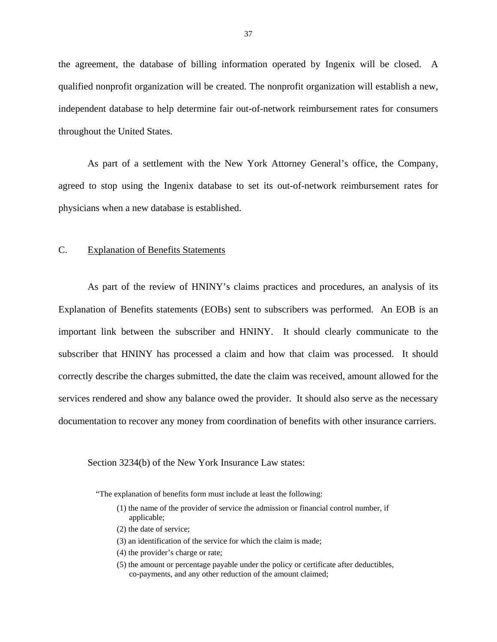<span id="page-38-0"></span>the agreement, the database of billing information operated by Ingenix will be closed. A qualified nonprofit organization will be created. The nonprofit organization will establish a new, independent database to help determine fair out-of-network reimbursement rates for consumers throughout the United States.

As part of a settlement with the New York Attorney General's office, the Company, agreed to stop using the Ingenix database to set its out-of-network reimbursement rates for physicians when a new database is established.

#### C. Explanation of Benefits Statements

As part of the review of HNINY's claims practices and procedures, an analysis of its Explanation of Benefits statements (EOBs) sent to subscribers was performed. An EOB is an important link between the subscriber and HNINY. It should clearly communicate to the subscriber that HNINY has processed a claim and how that claim was processed. It should correctly describe the charges submitted, the date the claim was received, amount allowed for the services rendered and show any balance owed the provider. It should also serve as the necessary documentation to recover any money from coordination of benefits with other insurance carriers.

#### Section 3234(b) of the New York Insurance Law states:

"The explanation of benefits form must include at least the following:

- (1) the name of the provider of service the admission or financial control number, if applicable;
- (2) the date of service;
- (3) an identification of the service for which the claim is made;
- (4) the provider's charge or rate;
- (5) the amount or percentage payable under the policy or certificate after deductibles, co-payments, and any other reduction of the amount claimed;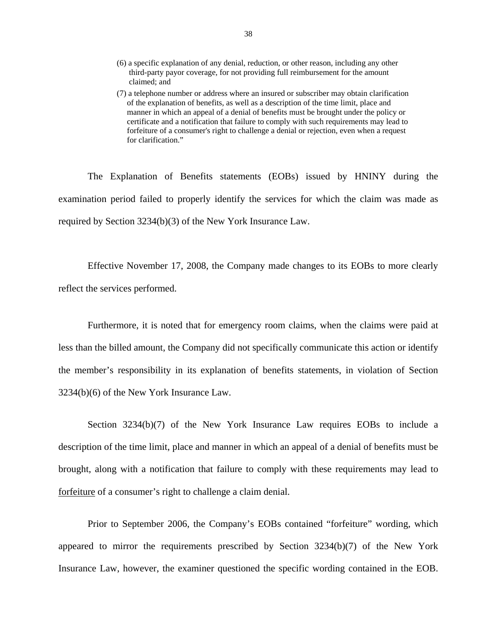- (6) a specific explanation of any denial, reduction, or other reason, including any other third-party payor coverage, for not providing full reimbursement for the amount claimed; and
- (7) a telephone number or address where an insured or subscriber may obtain clarification of the explanation of benefits, as well as a description of the time limit, place and manner in which an appeal of a denial of benefits must be brought under the policy or certificate and a notification that failure to comply with such requirements may lead to forfeiture of a consumer's right to challenge a denial or rejection, even when a request for clarification."

The Explanation of Benefits statements (EOBs) issued by HNINY during the examination period failed to properly identify the services for which the claim was made as required by Section 3234(b)(3) of the New York Insurance Law.

Effective November 17, 2008, the Company made changes to its EOBs to more clearly reflect the services performed.

Furthermore, it is noted that for emergency room claims, when the claims were paid at less than the billed amount, the Company did not specifically communicate this action or identify the member's responsibility in its explanation of benefits statements, in violation of Section 3234(b)(6) of the New York Insurance Law.

Section 3234(b)(7) of the New York Insurance Law requires EOBs to include a description of the time limit, place and manner in which an appeal of a denial of benefits must be brought, along with a notification that failure to comply with these requirements may lead to forfeiture of a consumer's right to challenge a claim denial.

Prior to September 2006, the Company's EOBs contained "forfeiture" wording, which appeared to mirror the requirements prescribed by Section 3234(b)(7) of the New York Insurance Law, however, the examiner questioned the specific wording contained in the EOB.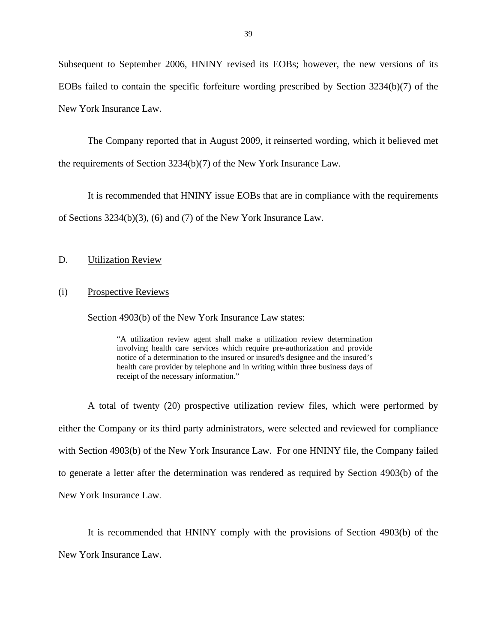<span id="page-40-0"></span>Subsequent to September 2006, HNINY revised its EOBs; however, the new versions of its EOBs failed to contain the specific forfeiture wording prescribed by Section 3234(b)(7) of the New York Insurance Law.

The Company reported that in August 2009, it reinserted wording, which it believed met the requirements of Section 3234(b)(7) of the New York Insurance Law.

It is recommended that HNINY issue EOBs that are in compliance with the requirements of Sections 3234(b)(3), (6) and (7) of the New York Insurance Law.

# **Utilization Review** D. Utilization Review<br>
(i) Prospective Reviews

Section 4903(b) of the New York Insurance Law states:

"A utilization review agent shall make a utilization review determination involving health care services which require pre-authorization and provide notice of a determination to the insured or insured's designee and the insured's health care provider by telephone and in writing within three business days of receipt of the necessary information."

A total of twenty (20) prospective utilization review files, which were performed by either the Company or its third party administrators, were selected and reviewed for compliance with Section 4903(b) of the New York Insurance Law. For one HNINY file, the Company failed to generate a letter after the determination was rendered as required by Section 4903(b) of the New York Insurance Law.

It is recommended that HNINY comply with the provisions of Section 4903(b) of the New York Insurance Law.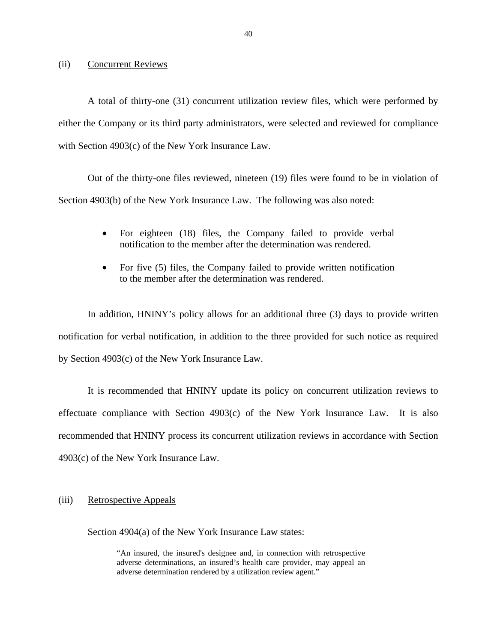(ii) Concurrent Reviews

A total of thirty-one (31) concurrent utilization review files, which were performed by either the Company or its third party administrators, were selected and reviewed for compliance with Section 4903(c) of the New York Insurance Law.

Out of the thirty-one files reviewed, nineteen (19) files were found to be in violation of Section 4903(b) of the New York Insurance Law. The following was also noted:

- For eighteen (18) files, the Company failed to provide verbal notification to the member after the determination was rendered.
- For five (5) files, the Company failed to provide written notification to the member after the determination was rendered.

In addition, HNINY's policy allows for an additional three (3) days to provide written notification for verbal notification, in addition to the three provided for such notice as required by Section 4903(c) of the New York Insurance Law.

It is recommended that HNINY update its policy on concurrent utilization reviews to effectuate compliance with Section  $4903(c)$  of the New York Insurance Law. It is also recommended that HNINY process its concurrent utilization reviews in accordance with Section 4903(c) of the New York Insurance Law.

(iii) Retrospective Appeals

Section 4904(a) of the New York Insurance Law states:

 "An insured, the insured's designee and, in connection with retrospective adverse determinations, an insured's health care provider, may appeal an adverse determination rendered by a utilization review agent."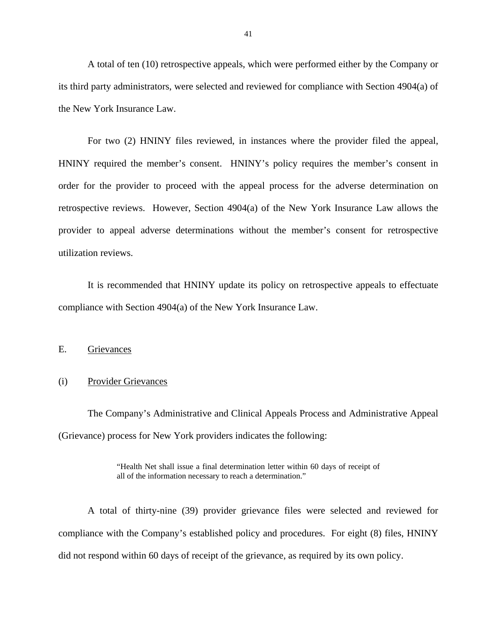<span id="page-42-0"></span>A total of ten (10) retrospective appeals, which were performed either by the Company or its third party administrators, were selected and reviewed for compliance with Section 4904(a) of the New York Insurance Law.

For two (2) HNINY files reviewed, in instances where the provider filed the appeal, HNINY required the member's consent. HNINY's policy requires the member's consent in order for the provider to proceed with the appeal process for the adverse determination on retrospective reviews. However, Section 4904(a) of the New York Insurance Law allows the provider to appeal adverse determinations without the member's consent for retrospective utilization reviews.

It is recommended that HNINY update its policy on retrospective appeals to effectuate compliance with Section 4904(a) of the New York Insurance Law.

#### E. Grievances

#### (i) Provider Grievances

The Company's Administrative and Clinical Appeals Process and Administrative Appeal (Grievance) process for New York providers indicates the following:

> "Health Net shall issue a final determination letter within 60 days of receipt of all of the information necessary to reach a determination."

A total of thirty-nine (39) provider grievance files were selected and reviewed for compliance with the Company's established policy and procedures. For eight (8) files, HNINY did not respond within 60 days of receipt of the grievance, as required by its own policy.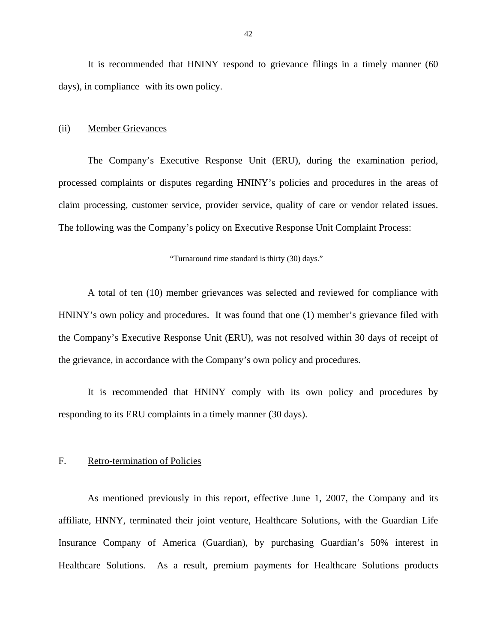<span id="page-43-0"></span>It is recommended that HNINY respond to grievance filings in a timely manner (60 days), in compliance with its own policy.

#### (ii) Member Grievances

The Company's Executive Response Unit (ERU), during the examination period, processed complaints or disputes regarding HNINY's policies and procedures in the areas of claim processing, customer service, provider service, quality of care or vendor related issues. The following was the Company's policy on Executive Response Unit Complaint Process:

#### "Turnaround time standard is thirty (30) days."

A total of ten (10) member grievances was selected and reviewed for compliance with HNINY's own policy and procedures. It was found that one (1) member's grievance filed with the Company's Executive Response Unit (ERU), was not resolved within 30 days of receipt of the grievance, in accordance with the Company's own policy and procedures.

It is recommended that HNINY comply with its own policy and procedures by responding to its ERU complaints in a timely manner (30 days).

#### F. Retro-termination of Policies

As mentioned previously in this report, effective June 1, 2007, the Company and its affiliate, HNNY, terminated their joint venture, Healthcare Solutions, with the Guardian Life Insurance Company of America (Guardian), by purchasing Guardian's 50% interest in Healthcare Solutions. As a result, premium payments for Healthcare Solutions products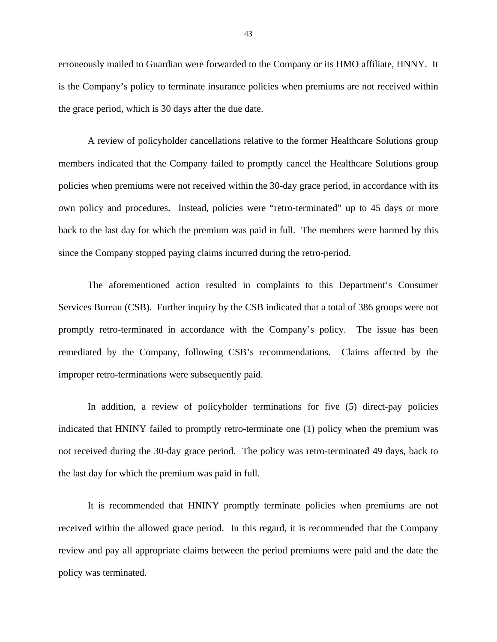erroneously mailed to Guardian were forwarded to the Company or its HMO affiliate, HNNY. It is the Company's policy to terminate insurance policies when premiums are not received within the grace period, which is 30 days after the due date.

A review of policyholder cancellations relative to the former Healthcare Solutions group members indicated that the Company failed to promptly cancel the Healthcare Solutions group policies when premiums were not received within the 30-day grace period, in accordance with its own policy and procedures. Instead, policies were "retro-terminated" up to 45 days or more back to the last day for which the premium was paid in full. The members were harmed by this since the Company stopped paying claims incurred during the retro-period.

The aforementioned action resulted in complaints to this Department's Consumer Services Bureau (CSB). Further inquiry by the CSB indicated that a total of 386 groups were not promptly retro-terminated in accordance with the Company's policy. The issue has been remediated by the Company, following CSB's recommendations. Claims affected by the improper retro-terminations were subsequently paid.

In addition, a review of policyholder terminations for five (5) direct-pay policies indicated that HNINY failed to promptly retro-terminate one (1) policy when the premium was not received during the 30-day grace period. The policy was retro-terminated 49 days, back to the last day for which the premium was paid in full.

It is recommended that HNINY promptly terminate policies when premiums are not received within the allowed grace period. In this regard, it is recommended that the Company review and pay all appropriate claims between the period premiums were paid and the date the policy was terminated.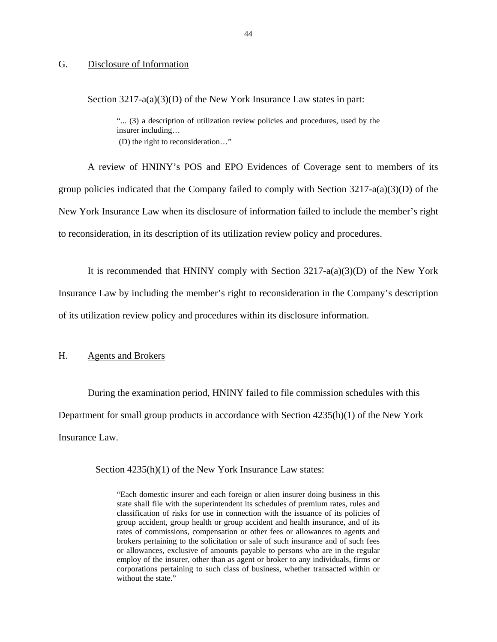#### <span id="page-45-0"></span>G. Disclosure of Information

Section 3217-a(a)(3)(D) of the New York Insurance Law states in part:

"... (3) a description of utilization review policies and procedures, used by the insurer including… (D) the right to reconsideration…"

A review of HNINY's POS and EPO Evidences of Coverage sent to members of its group policies indicated that the Company failed to comply with Section 3217-a(a)(3)(D) of the New York Insurance Law when its disclosure of information failed to include the member's right to reconsideration, in its description of its utilization review policy and procedures.

It is recommended that HNINY comply with Section  $3217-a(a)(3)(D)$  of the New York Insurance Law by including the member's right to reconsideration in the Company's description of its utilization review policy and procedures within its disclosure information.

#### H. Agents and Brokers

During the examination period, HNINY failed to file commission schedules with this Department for small group products in accordance with Section 4235(h)(1) of the New York Insurance Law.

Section  $4235(h)(1)$  of the New York Insurance Law states:

"Each domestic insurer and each foreign or alien insurer doing business in this state shall file with the superintendent its schedules of premium rates, rules and classification of risks for use in connection with the issuance of its policies of group accident, group health or group accident and health insurance, and of its rates of commissions, compensation or other fees or allowances to agents and brokers pertaining to the solicitation or sale of such insurance and of such fees or allowances, exclusive of amounts payable to persons who are in the regular employ of the insurer, other than as agent or broker to any individuals, firms or corporations pertaining to such class of business, whether transacted within or without the state."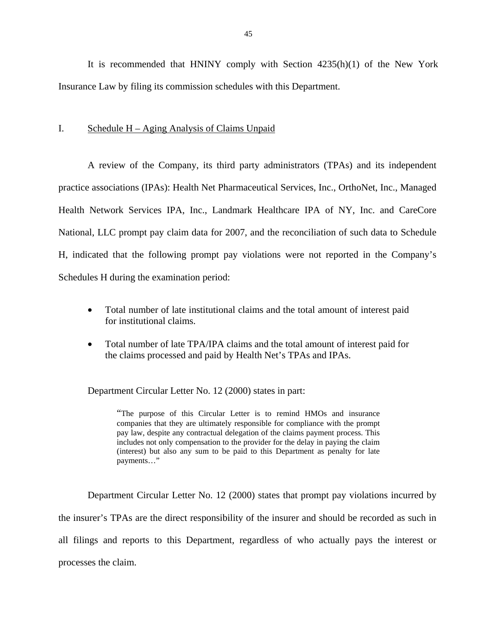<span id="page-46-0"></span>It is recommended that HNINY comply with Section 4235(h)(1) of the New York Insurance Law by filing its commission schedules with this Department.

#### I. Schedule H – Aging Analysis of Claims Unpaid

A review of the Company, its third party administrators (TPAs) and its independent practice associations (IPAs): Health Net Pharmaceutical Services, Inc., OrthoNet, Inc., Managed Health Network Services IPA, Inc., Landmark Healthcare IPA of NY, Inc. and CareCore National, LLC prompt pay claim data for 2007, and the reconciliation of such data to Schedule H, indicated that the following prompt pay violations were not reported in the Company's Schedules H during the examination period:

- Total number of late institutional claims and the total amount of interest paid for institutional claims.
- Total number of late TPA/IPA claims and the total amount of interest paid for the claims processed and paid by Health Net's TPAs and IPAs.

Department Circular Letter No. 12 (2000) states in part:

"The purpose of this Circular Letter is to remind HMOs and insurance companies that they are ultimately responsible for compliance with the prompt pay law, despite any contractual delegation of the claims payment process. This includes not only compensation to the provider for the delay in paying the claim (interest) but also any sum to be paid to this Department as penalty for late payments…"

Department Circular Letter No. 12 (2000) states that prompt pay violations incurred by the insurer's TPAs are the direct responsibility of the insurer and should be recorded as such in all filings and reports to this Department, regardless of who actually pays the interest or processes the claim.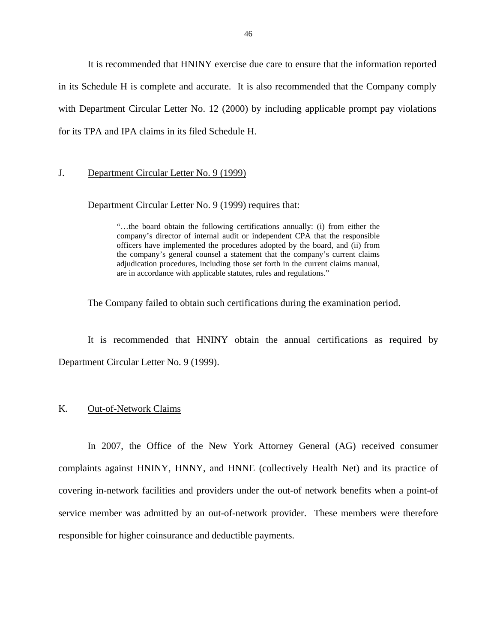<span id="page-47-0"></span>It is recommended that HNINY exercise due care to ensure that the information reported in its Schedule H is complete and accurate. It is also recommended that the Company comply with Department Circular Letter No. 12 (2000) by including applicable prompt pay violations for its TPA and IPA claims in its filed Schedule H.

#### J. Department Circular Letter No. 9 (1999)

Department Circular Letter No. 9 (1999) requires that:

"…the board obtain the following certifications annually: (i) from either the company's director of internal audit or independent CPA that the responsible officers have implemented the procedures adopted by the board, and (ii) from the company's general counsel a statement that the company's current claims adjudication procedures, including those set forth in the current claims manual, are in accordance with applicable statutes, rules and regulations."

The Company failed to obtain such certifications during the examination period.

It is recommended that HNINY obtain the annual certifications as required by Department Circular Letter No. 9 (1999).

#### K. Out-of-Network Claims

In 2007, the Office of the New York Attorney General (AG) received consumer complaints against HNINY, HNNY, and HNNE (collectively Health Net) and its practice of covering in-network facilities and providers under the out-of network benefits when a point-of service member was admitted by an out-of-network provider. These members were therefore responsible for higher coinsurance and deductible payments.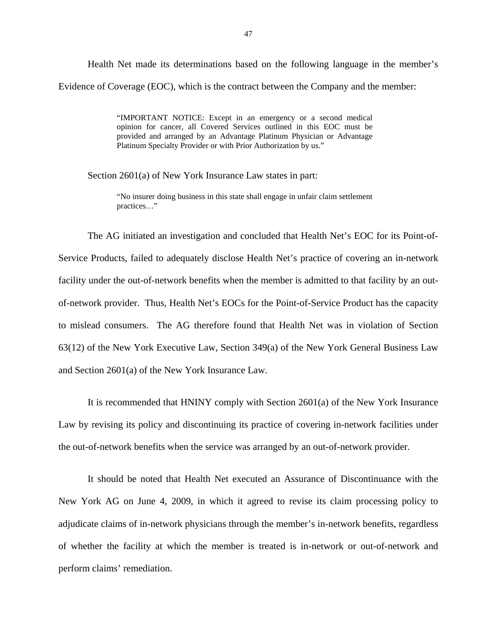Health Net made its determinations based on the following language in the member's Evidence of Coverage (EOC), which is the contract between the Company and the member:

> Platinum Specialty Provider or with Prior Authorization by us." "IMPORTANT NOTICE: Except in an emergency or a second medical opinion for cancer, all Covered Services outlined in this EOC must be provided and arranged by an Advantage Platinum Physician or Advantage

Section 2601(a) of New York Insurance Law states in part:

"No insurer doing business in this state shall engage in unfair claim settlement

practices..."<br>The AG initiated an investigation and concluded that Health Net's EOC for its Point-of-Service Products, failed to adequately disclose Health Net's practice of covering an in-network facility under the out-of-network benefits when the member is admitted to that facility by an outof-network provider. Thus, Health Net's EOCs for the Point-of-Service Product has the capacity to mislead consumers. The AG therefore found that Health Net was in violation of Section 63(12) of the New York Executive Law, Section 349(a) of the New York General Business Law and Section 2601(a) of the New York Insurance Law.

It is recommended that HNINY comply with Section 2601(a) of the New York Insurance Law by revising its policy and discontinuing its practice of covering in-network facilities under the out-of-network benefits when the service was arranged by an out-of-network provider.

It should be noted that Health Net executed an Assurance of Discontinuance with the New York AG on June 4, 2009, in which it agreed to revise its claim processing policy to adjudicate claims of in-network physicians through the member's in-network benefits, regardless of whether the facility at which the member is treated is in-network or out-of-network and perform claims' remediation.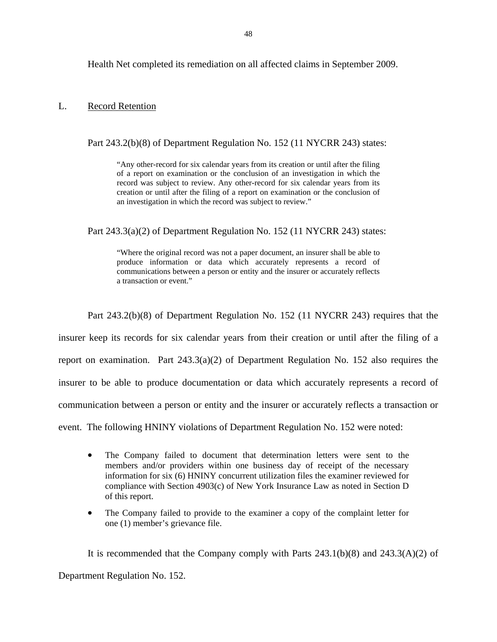<span id="page-49-0"></span>Health Net completed its remediation on all affected claims in September 2009.

#### L. Record Retention

Part 243.2(b)(8) of Department Regulation No. 152 (11 NYCRR 243) states:

 creation or until after the filing of a report on examination or the conclusion of "Any other-record for six calendar years from its creation or until after the filing of a report on examination or the conclusion of an investigation in which the record was subject to review. Any other-record for six calendar years from its an investigation in which the record was subject to review."

Part 243.3(a)(2) of Department Regulation No. 152 (11 NYCRR 243) states:

"Where the original record was not a paper document, an insurer shall be able to produce information or data which accurately represents a record of communications between a person or entity and the insurer or accurately reflects a transaction or event."

Part 243.2(b)(8) of Department Regulation No. 152 (11 NYCRR 243) requires that the

insurer keep its records for six calendar years from their creation or until after the filing of a

report on examination. Part 243.3(a)(2) of Department Regulation No. 152 also requires the

insurer to be able to produce documentation or data which accurately represents a record of

communication between a person or entity and the insurer or accurately reflects a transaction or

event. The following HNINY violations of Department Regulation No. 152 were noted:

- The Company failed to document that determination letters were sent to the members and/or providers within one business day of receipt of the necessary information for six (6) HNINY concurrent utilization files the examiner reviewed for compliance with Section 4903(c) of New York Insurance Law as noted in Section D of this report.
- The Company failed to provide to the examiner a copy of the complaint letter for one (1) member's grievance file.

It is recommended that the Company comply with Parts  $243.1(b)(8)$  and  $243.3(A)(2)$  of Department Regulation No. 152.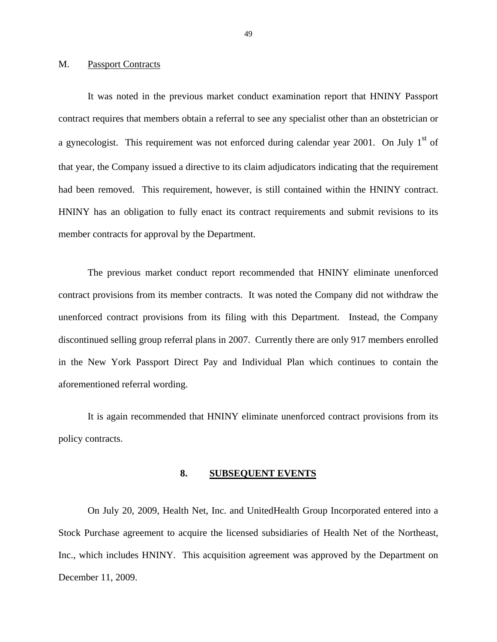#### <span id="page-50-0"></span>M. Passport Contracts

had been removed. This requirement, however, is still contained within the HNINY contract.<br>HNINY has an obligation to fully enact its contract requirements and submit revisions to its It was noted in the previous market conduct examination report that HNINY Passport contract requires that members obtain a referral to see any specialist other than an obstetrician or a gynecologist. This requirement was not enforced during calendar year 2001. On July  $1<sup>st</sup>$  of that year, the Company issued a directive to its claim adjudicators indicating that the requirement member contracts for approval by the Department.

The previous market conduct report recommended that HNINY eliminate unenforced contract provisions from its member contracts. It was noted the Company did not withdraw the unenforced contract provisions from its filing with this Department. Instead, the Company discontinued selling group referral plans in 2007. Currently there are only 917 members enrolled in the New York Passport Direct Pay and Individual Plan which continues to contain the aforementioned referral wording.

It is again recommended that HNINY eliminate unenforced contract provisions from its policy contracts.

#### **8. SUBSEQUENT EVENTS**

On July 20, 2009, Health Net, Inc. and UnitedHealth Group Incorporated entered into a Stock Purchase agreement to acquire the licensed subsidiaries of Health Net of the Northeast, Inc., which includes HNINY. This acquisition agreement was approved by the Department on December 11, 2009.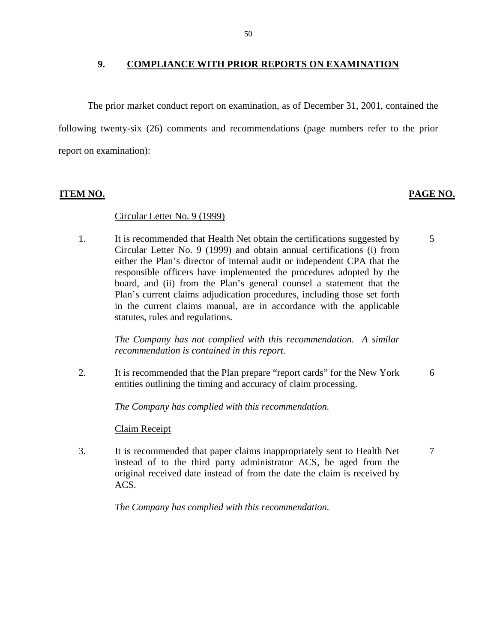#### **9. COMPLIANCE WITH PRIOR REPORTS ON EXAMINATION**

The prior market conduct report on examination, as of December 31, 2001, contained the following twenty-six (26) comments and recommendations (page numbers refer to the prior report on examination):

#### **ITEM NO. PAGE NO.**

### Circular Letter No. 9 (1999)

1. It is recommended that Health Net obtain the certifications suggested by Circular Letter No. 9 (1999) and obtain annual certifications (i) from either the Plan's director of internal audit or independent CPA that the responsible officers have implemented the procedures adopted by the board, and (ii) from the Plan's general counsel a statement that the Plan's current claims adjudication procedures, including those set forth in the current claims manual, are in accordance with the applicable statutes, rules and regulations.

5

7

*The Company has not complied with this recommendation. A similar recommendation is contained in this report.* 

2. It is recommended that the Plan prepare "report cards" for the New York entities outlining the timing and accuracy of claim processing. 6

*The Company has complied with this recommendation.* 

**Claim Receipt** 

3. It is recommended that paper claims inappropriately sent to Health Net instead of to the third party administrator ACS, be aged from the original received date instead of from the date the claim is received by ACS.

*The Company has complied with this recommendation.*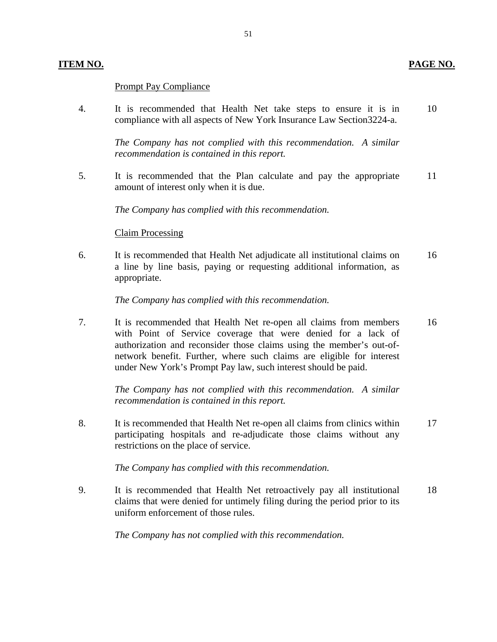### **Prompt Pay Compliance**

4. It is recommended that Health Net take steps to ensure it is in 10 compliance with all aspects of New York Insurance Law Section3224-a.

> *The Company has not complied with this recommendation. A similar recommendation is contained in this report.*

5. It is recommended that the Plan calculate and pay the appropriate 11 amount of interest only when it is due.

*The Company has complied with this recommendation.* 

#### Claim Processing

6. It is recommended that Health Net adjudicate all institutional claims on 16 a line by line basis, paying or requesting additional information, as appropriate.

*The Company has complied with this recommendation.* 

7. It is recommended that Health Net re-open all claims from members 16 with Point of Service coverage that were denied for a lack of authorization and reconsider those claims using the member's out-ofnetwork benefit. Further, where such claims are eligible for interest under New York's Prompt Pay law, such interest should be paid.

*The Company has not complied with this recommendation. A similar recommendation is contained in this report.* 

8. It is recommended that Health Net re-open all claims from clinics within 17 participating hospitals and re-adjudicate those claims without any restrictions on the place of service.

*The Company has complied with this recommendation.* 

9. It is recommended that Health Net retroactively pay all institutional 18 claims that were denied for untimely filing during the period prior to its uniform enforcement of those rules.

*The Company has not complied with this recommendation.*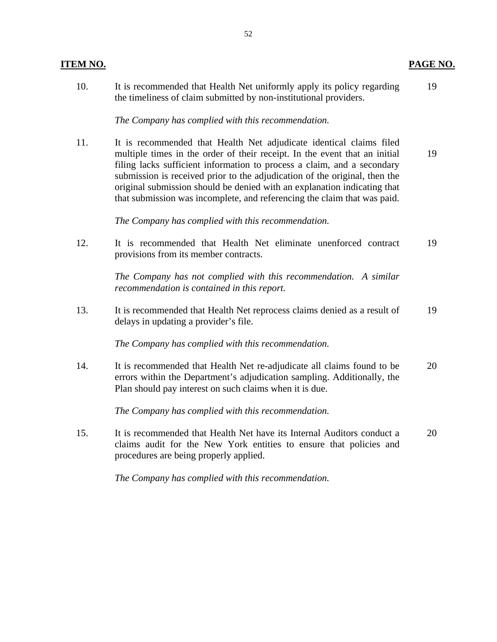| <b>ITEM NO.</b> |                                                                                                                                                                                                                                                                                                                                                                                                                                                                    | PAGE NO. |
|-----------------|--------------------------------------------------------------------------------------------------------------------------------------------------------------------------------------------------------------------------------------------------------------------------------------------------------------------------------------------------------------------------------------------------------------------------------------------------------------------|----------|
| 10.             | It is recommended that Health Net uniformly apply its policy regarding<br>the timeliness of claim submitted by non-institutional providers.                                                                                                                                                                                                                                                                                                                        | 19       |
|                 | The Company has complied with this recommendation.                                                                                                                                                                                                                                                                                                                                                                                                                 |          |
| 11.             | It is recommended that Health Net adjudicate identical claims filed<br>multiple times in the order of their receipt. In the event that an initial<br>filing lacks sufficient information to process a claim, and a secondary<br>submission is received prior to the adjudication of the original, then the<br>original submission should be denied with an explanation indicating that<br>that submission was incomplete, and referencing the claim that was paid. | 19       |
|                 | The Company has complied with this recommendation.                                                                                                                                                                                                                                                                                                                                                                                                                 |          |
| 12.             | It is recommended that Health Net eliminate unenforced contract<br>provisions from its member contracts.                                                                                                                                                                                                                                                                                                                                                           | 19       |
|                 | The Company has not complied with this recommendation. A similar<br>recommendation is contained in this report.                                                                                                                                                                                                                                                                                                                                                    |          |
| 13.             | It is recommended that Health Net reprocess claims denied as a result of<br>delays in updating a provider's file.                                                                                                                                                                                                                                                                                                                                                  | 19       |
|                 | The Company has complied with this recommendation.                                                                                                                                                                                                                                                                                                                                                                                                                 |          |
| 14.             | It is recommended that Health Net re-adjudicate all claims found to be<br>errors within the Department's adjudication sampling. Additionally, the<br>Plan should pay interest on such claims when it is due.                                                                                                                                                                                                                                                       | 20       |
|                 | The Company has complied with this recommendation.                                                                                                                                                                                                                                                                                                                                                                                                                 |          |

15. It is recommended that Health Net have its Internal Auditors conduct a 20 claims audit for the New York entities to ensure that policies and procedures are being properly applied.

*The Company has complied with this recommendation.*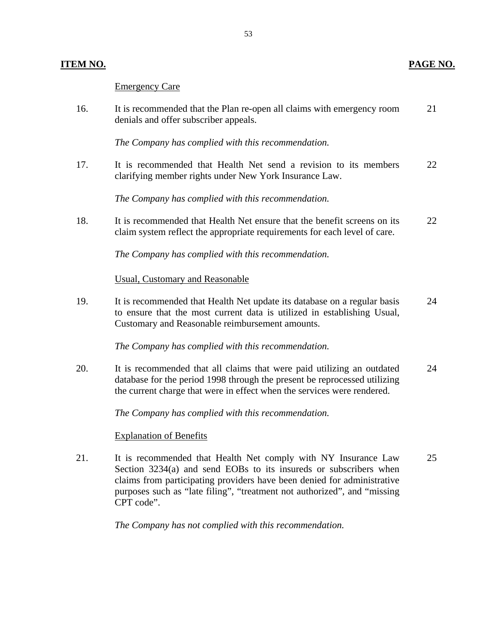#### **Emergency Care**

|     | <b>Emergency Care</b>                                                                                           |    |
|-----|-----------------------------------------------------------------------------------------------------------------|----|
| 16. | It is recommended that the Plan re-open all claims with emergency room<br>denials and offer subscriber appeals. | 21 |

*The Company has complied with this recommendation.* 

17. It is recommended that Health Net send a revision to its members 22 clarifying member rights under New York Insurance Law.

*The Company has complied with this recommendation.* 

18. It is recommended that Health Net ensure that the benefit screens on its 22 claim system reflect the appropriate requirements for each level of care.

*The Company has complied with this recommendation.* 

Usual, Customary and Reasonable

19. It is recommended that Health Net update its database on a regular basis 24 to ensure that the most current data is utilized in establishing Usual, Customary and Reasonable reimbursement amounts.

*The Company has complied with this recommendation.* 

20. It is recommended that all claims that were paid utilizing an outdated 24 database for the period 1998 through the present be reprocessed utilizing the current charge that were in effect when the services were rendered.

*The Company has complied with this recommendation.* 

#### **Explanation of Benefits**

21. It is recommended that Health Net comply with NY Insurance Law 25 Section 3234(a) and send EOBs to its insureds or subscribers when claims from participating providers have been denied for administrative purposes such as "late filing", "treatment not authorized", and "missing CPT code".

*The Company has not complied with this recommendation.* 

**ITEM NO. PAGE NO.**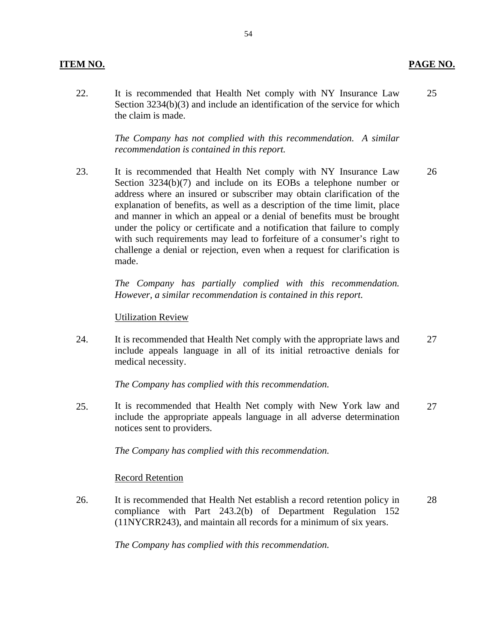#### **ITEM NO. PAGE NO.**

22. It is recommended that Health Net comply with NY Insurance Law 25 Section 3234(b)(3) and include an identification of the service for which the claim is made.

> *The Company has not complied with this recommendation. A similar recommendation is contained in this report.*

23. It is recommended that Health Net comply with NY Insurance Law 26 Section 3234(b)(7) and include on its EOBs a telephone number or address where an insured or subscriber may obtain clarification of the explanation of benefits, as well as a description of the time limit, place and manner in which an appeal or a denial of benefits must be brought under the policy or certificate and a notification that failure to comply with such requirements may lead to forfeiture of a consumer's right to challenge a denial or rejection, even when a request for clarification is made.

> *The Company has partially complied with this recommendation. However, a similar recommendation is contained in this report.*

#### **Utilization Review**

24. It is recommended that Health Net comply with the appropriate laws and 27 include appeals language in all of its initial retroactive denials for medical necessity.

*The Company has complied with this recommendation.* 

25. It is recommended that Health Net comply with New York law and 27 include the appropriate appeals language in all adverse determination notices sent to providers.

*The Company has complied with this recommendation.* 

#### Record Retention

26. It is recommended that Health Net establish a record retention policy in 28 compliance with Part 243.2(b) of Department Regulation 152 (11NYCRR243), and maintain all records for a minimum of six years.

*The Company has complied with this recommendation.*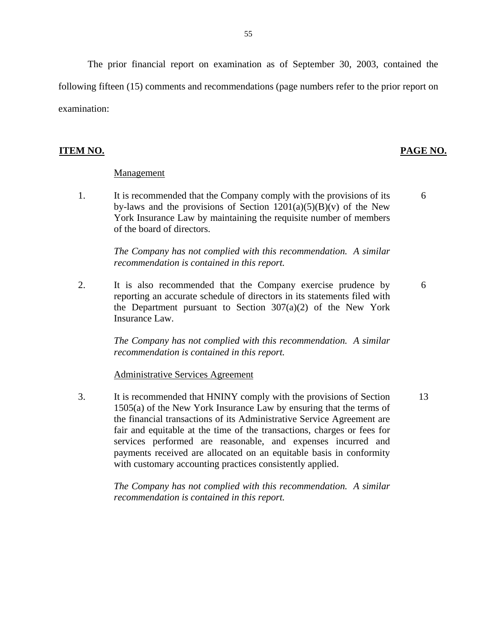The prior financial report on examination as of September 30, 2003, contained the following fifteen (15) comments and recommendations (page numbers refer to the prior report on examination:

#### **ITEM NO. PAGE NO.**

6

6

#### Management

1. It is recommended that the Company comply with the provisions of its by-laws and the provisions of Section  $1201(a)(5)(B)(v)$  of the New York Insurance Law by maintaining the requisite number of members of the board of directors.

> *The Company has not complied with this recommendation. A similar recommendation is contained in this report.*

2. It is also recommended that the Company exercise prudence by reporting an accurate schedule of directors in its statements filed with the Department pursuant to Section  $307(a)(2)$  of the New York Insurance Law.

> *The Company has not complied with this recommendation. A similar recommendation is contained in this report.*

**Administrative Services Agreement** 

3. It is recommended that HNINY comply with the provisions of Section 1505(a) of the New York Insurance Law by ensuring that the terms of the financial transactions of its Administrative Service Agreement are fair and equitable at the time of the transactions, charges or fees for services performed are reasonable, and expenses incurred and payments received are allocated on an equitable basis in conformity with customary accounting practices consistently applied. 13

> *The Company has not complied with this recommendation. A similar recommendation is contained in this report.*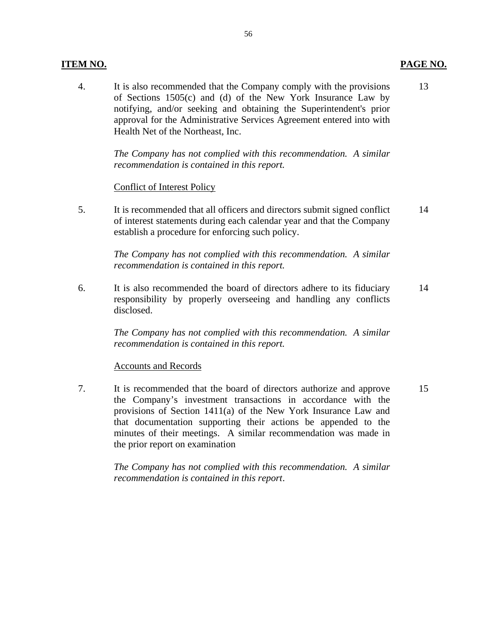#### **ITEM NO. PAGE NO.**

4. It is also recommended that the Company comply with the provisions 13 of Sections 1505(c) and (d) of the New York Insurance Law by notifying, and/or seeking and obtaining the Superintendent's prior approval for the Administrative Services Agreement entered into with Health Net of the Northeast, Inc.

> *The Company has not complied with this recommendation. A similar recommendation is contained in this report.*

#### **Conflict of Interest Policy**

5. It is recommended that all officers and directors submit signed conflict 14 of interest statements during each calendar year and that the Company establish a procedure for enforcing such policy.

> *The Company has not complied with this recommendation. A similar recommendation is contained in this report.*

6. It is also recommended the board of directors adhere to its fiduciary 14 responsibility by properly overseeing and handling any conflicts disclosed.

> *The Company has not complied with this recommendation. A similar recommendation is contained in this report.*

#### **Accounts and Records**

7. It is recommended that the board of directors authorize and approve 15 the Company's investment transactions in accordance with the provisions of Section 1411(a) of the New York Insurance Law and that documentation supporting their actions be appended to the minutes of their meetings. A similar recommendation was made in the prior report on examination

> *The Company has not complied with this recommendation. A similar recommendation is contained in this report*.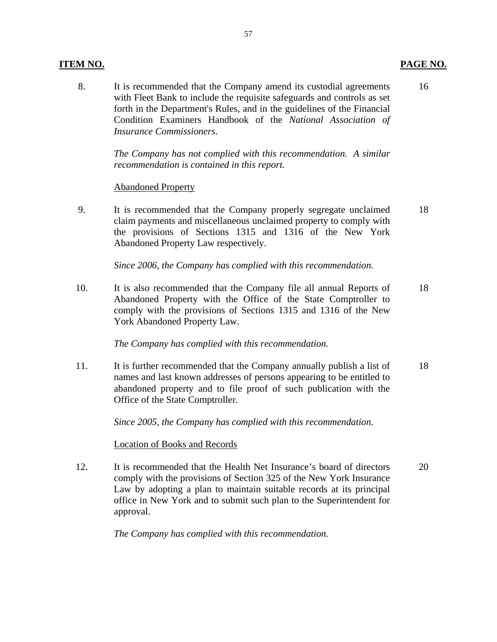#### **ITEM NO. PAGE NO.**

8. It is recommended that the Company amend its custodial agreements 16 with Fleet Bank to include the requisite safeguards and controls as set forth in the Department's Rules, and in the guidelines of the Financial Condition Examiners Handbook of the *National Association of Insurance Commissioners*.

> *The Company has not complied with this recommendation. A similar recommendation is contained in this report.*

#### **Abandoned Property**

9. It is recommended that the Company properly segregate unclaimed 18 claim payments and miscellaneous unclaimed property to comply with the provisions of Sections 1315 and 1316 of the New York Abandoned Property Law respectively.

*Since 2006, the Company has complied with this recommendation.* 

10. It is also recommended that the Company file all annual Reports of 18 Abandoned Property with the Office of the State Comptroller to comply with the provisions of Sections 1315 and 1316 of the New York Abandoned Property Law.

#### *The Company has complied with this recommendation.*

11. It is further recommended that the Company annually publish a list of 18 names and last known addresses of persons appearing to be entitled to abandoned property and to file proof of such publication with the Office of the State Comptroller.

*Since 2005, the Company has complied with this recommendation.* 

#### Location of Books and Records

12. It is recommended that the Health Net Insurance's board of directors 20 comply with the provisions of Section 325 of the New York Insurance Law by adopting a plan to maintain suitable records at its principal office in New York and to submit such plan to the Superintendent for approval.

*The Company has complied with this recommendation.*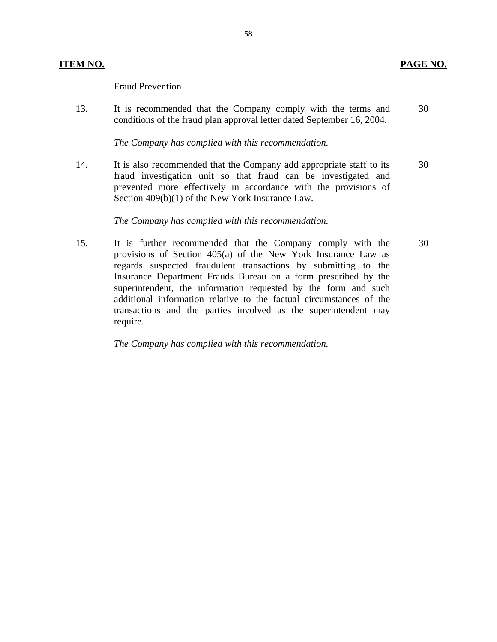#### **Fraud Prevention**

13. It is recommended that the Company comply with the terms and 30 conditions of the fraud plan approval letter dated September 16, 2004.

#### *The Company has complied with this recommendation.*

14. It is also recommended that the Company add appropriate staff to its 30 fraud investigation unit so that fraud can be investigated and prevented more effectively in accordance with the provisions of Section 409(b)(1) of the New York Insurance Law.

#### *The Company has complied with this recommendation.*

15. It is further recommended that the Company comply with the 30 provisions of Section 405(a) of the New York Insurance Law as regards suspected fraudulent transactions by submitting to the Insurance Department Frauds Bureau on a form prescribed by the superintendent, the information requested by the form and such additional information relative to the factual circumstances of the transactions and the parties involved as the superintendent may require.

*The Company has complied with this recommendation.*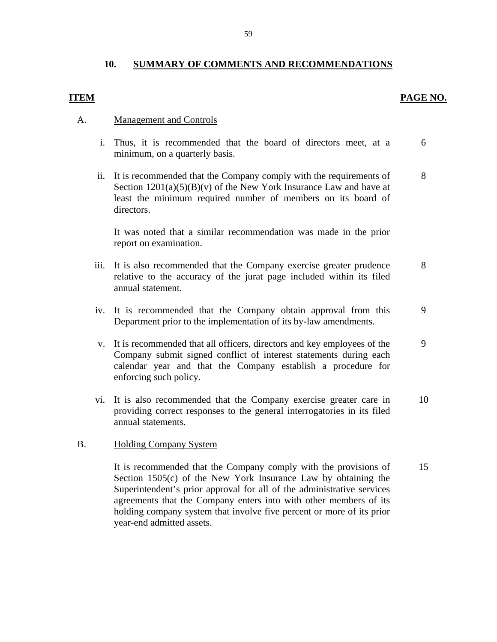### **10. SUMMARY OF COMMENTS AND RECOMMENDATIONS**

### **ITEM PAGE NO.**

#### **Management and Controls**

- A. <u>Management and Controls</u><br>i. Thus, it is recommended that the board of directors meet, at a 6 minimum, on a quarterly basis.
	- ii. It is recommended that the Company comply with the requirements of 8 Section  $1201(a)(5)(B)(v)$  of the New York Insurance Law and have at least the minimum required number of members on its board of directors.

It was noted that a similar recommendation was made in the prior report on examination.

- iii. It is also recommended that the Company exercise greater prudence 8 relative to the accuracy of the jurat page included within its filed annual statement.
- iv. It is recommended that the Company obtain approval from this 9 Department prior to the implementation of its by-law amendments.
- v. It is recommended that all officers, directors and key employees of the 9 Company submit signed conflict of interest statements during each calendar year and that the Company establish a procedure for enforcing such policy.
- vi. It is also recommended that the Company exercise greater care in 10 providing correct responses to the general interrogatories in its filed annual statements.

#### **Holding Company System**

B. Holding Company System<br>It is recommended that the Company comply with the provisions of 15 Section 1505(c) of the New York Insurance Law by obtaining the Superintendent's prior approval for all of the administrative services agreements that the Company enters into with other members of its holding company system that involve five percent or more of its prior year-end admitted assets.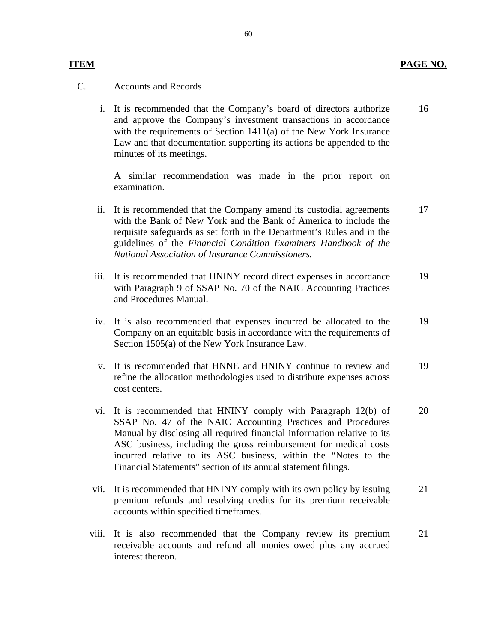### **Accounts and Records**

**ITEM** 

C. Accounts and Records<br>
i. It is recommended that the Company's board of directors authorize and approve the Company's investment transactions in accordance with the requirements of Section 1411(a) of the New York Insurance Law and that documentation supporting its actions be appended to the minutes of its meetings. 16

> A similar recommendation was made in the prior report on examination.

- ii. It is recommended that the Company amend its custodial agreements with the Bank of New York and the Bank of America to include the requisite safeguards as set forth in the Department's Rules and in the guidelines of the *Financial Condition Examiners Handbook of the National Association of Insurance Commissioners.*  17
- iii. It is recommended that HNINY record direct expenses in accordance with Paragraph 9 of SSAP No. 70 of the NAIC Accounting Practices and Procedures Manual. 19
- iv. It is also recommended that expenses incurred be allocated to the Company on an equitable basis in accordance with the requirements of Section 1505(a) of the New York Insurance Law. 19
- v. It is recommended that HNNE and HNINY continue to review and refine the allocation methodologies used to distribute expenses across cost centers. 19
- vi. It is recommended that HNINY comply with Paragraph 12(b) of SSAP No. 47 of the NAIC Accounting Practices and Procedures Manual by disclosing all required financial information relative to its ASC business, including the gross reimbursement for medical costs incurred relative to its ASC business, within the "Notes to the Financial Statements" section of its annual statement filings. 20
- vii. It is recommended that HNINY comply with its own policy by issuing premium refunds and resolving credits for its premium receivable accounts within specified timeframes. 21
- viii. It is also recommended that the Company review its premium receivable accounts and refund all monies owed plus any accrued interest thereon. 21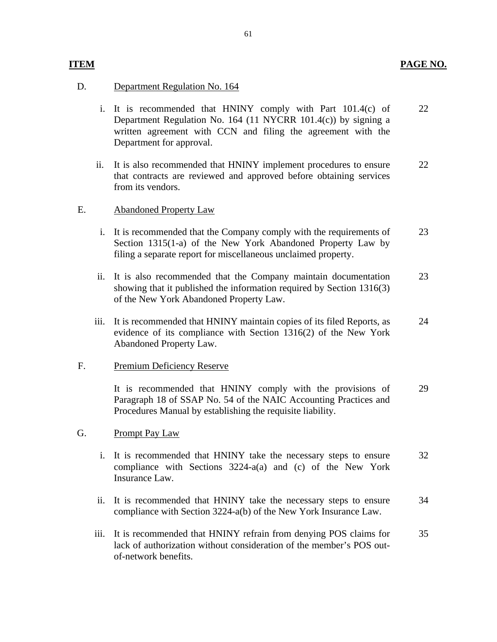### **PAGE NO.**

### D. Department Regulation No. 164

**ITEM** 

- i. It is recommended that HNINY comply with Part 101.4(c) of Department Regulation No. 164 (11 NYCRR 101.4(c)) by signing a written agreement with CCN and filing the agreement with the Department for approval. 22
- ii. It is also recommended that HNINY implement procedures to ensure that contracts are reviewed and approved before obtaining services from its vendors. 22

#### **Abandoned Property Law**

- E. Abandoned Property Law<br>i. It is recommended that the Company comply with the requirements of Section 1315(1-a) of the New York Abandoned Property Law by filing a separate report for miscellaneous unclaimed property. 23
	- ii. It is also recommended that the Company maintain documentation showing that it published the information required by Section 1316(3) of the New York Abandoned Property Law. 23
	- iii. It is recommended that HNINY maintain copies of its filed Reports, as evidence of its compliance with Section 1316(2) of the New York Abandoned Property Law. 24

#### Premium Deficiency Reserve

F. Premium Deficiency Reserve<br>It is recommended that HNINY comply with the provisions of Paragraph 18 of SSAP No. 54 of the NAIC Accounting Practices and Procedures Manual by establishing the requisite liability. 29

#### Prompt Pay Law

- G. Prompt Pay Law<br>i. It is recommended that HNINY take the necessary steps to ensure compliance with Sections 3224-a(a) and (c) of the New York Insurance Law. 32
	- ii. It is recommended that HNINY take the necessary steps to ensure compliance with Section 3224-a(b) of the New York Insurance Law. 34
	- iii. It is recommended that HNINY refrain from denying POS claims for lack of authorization without consideration of the member's POS outof-network benefits. 35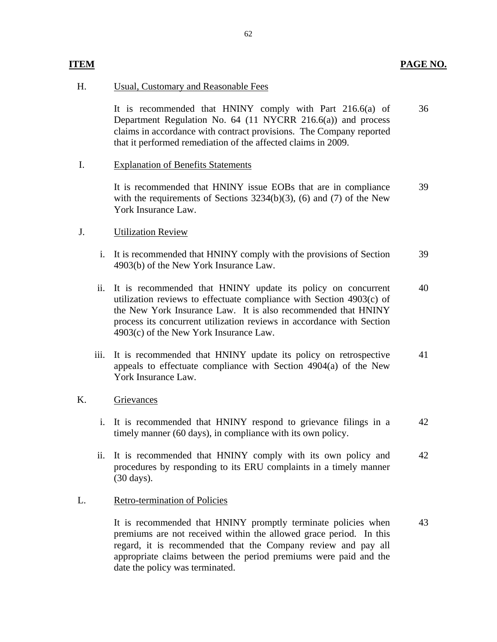### **ITEM** PAGE NO.

#### Usual, Customary and Reasonable Fees

H. Usual, Customary and Reasonable Fees<br>It is recommended that HNINY comply with Part 216.6(a) of Department Regulation No. 64 (11 NYCRR 216.6(a)) and process claims in accordance with contract provisions. The Company reported that it performed remediation of the affected claims in 2009. 36

#### **Explanation of Benefits Statements**

I. Explanation of Benefits Statements<br>It is recommended that HNINY issue EOBs that are in compliance with the requirements of Sections 3234(b)(3), (6) and (7) of the New York Insurance Law. 39

#### **Utilization Review**

- J. Utilization Review<br>i. It is recommended that HNINY comply with the provisions of Section 4903(b) of the New York Insurance Law. 39
	- ii. It is recommended that HNINY update its policy on concurrent utilization reviews to effectuate compliance with Section 4903(c) of the New York Insurance Law. It is also recommended that HNINY process its concurrent utilization reviews in accordance with Section 4903(c) of the New York Insurance Law. 40
	- iii. It is recommended that HNINY update its policy on retrospective appeals to effectuate compliance with Section 4904(a) of the New York Insurance Law. 41

### Grievances

- K. Grievances<br>i. It is recommended that HNINY respond to grievance filings in a timely manner (60 days), in compliance with its own policy. 42
	- ii. It is recommended that HNINY comply with its own policy and procedures by responding to its ERU complaints in a timely manner (30 days). 42

#### **Retro-termination of Policies**

L. Retro-termination of Policies<br>It is recommended that HNINY promptly terminate policies when premiums are not received within the allowed grace period. In this regard, it is recommended that the Company review and pay all appropriate claims between the period premiums were paid and the date the policy was terminated. 43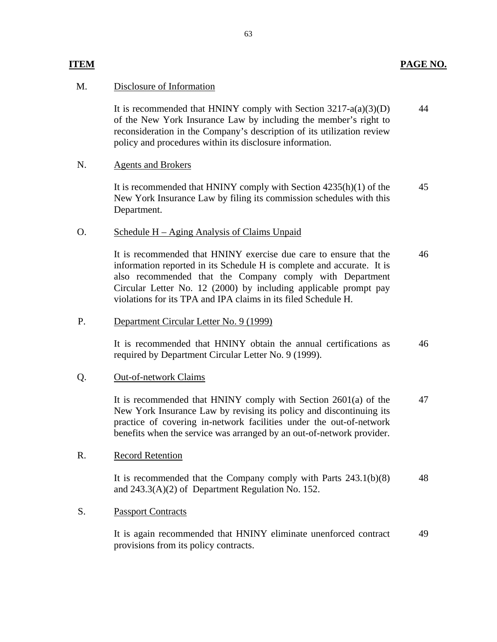### **ITEM PAGE NO.**

#### Disclosure of Information

M. Disclosure of Information<br>It is recommended that HNINY comply with Section 3217-a(a)(3)(D) of the New York Insurance Law by including the member's right to reconsideration in the Company's description of its utilization review policy and procedures within its disclosure information. 44

#### **Agents and Brokers**

N. Agents and Brokers<br>It is recommended that HNINY comply with Section 4235(h)(1) of the New York Insurance Law by filing its commission schedules with this Department. 45

#### O. Schedule H – Aging Analysis of Claims Unpaid

It is recommended that HNINY exercise due care to ensure that the information reported in its Schedule H is complete and accurate. It is also recommended that the Company comply with Department Circular Letter No. 12 (2000) by including applicable prompt pay violations for its TPA and IPA claims in its filed Schedule H. 46

#### Department Circular Letter No. 9 (1999)

P. Department Circular Letter No. 9 (1999)<br>It is recommended that HNINY obtain the annual certifications as required by Department Circular Letter No. 9 (1999). 46

#### **Out-of-network Claims**

Q. <u>Out-of-network Claims</u><br>It is recommended that HNINY comply with Section 2601(a) of the New York Insurance Law by revising its policy and discontinuing its practice of covering in-network facilities under the out-of-network benefits when the service was arranged by an out-of-network provider. 47

#### **Record Retention**

R. Record Retention<br>It is recommended that the Company comply with Parts 243.1(b)(8) and 243.3(A)(2) of Department Regulation No. 152. 48

#### **Passport Contracts**

S. Passport Contracts<br>It is again recommended that HNINY eliminate unenforced contract provisions from its policy contracts. 49